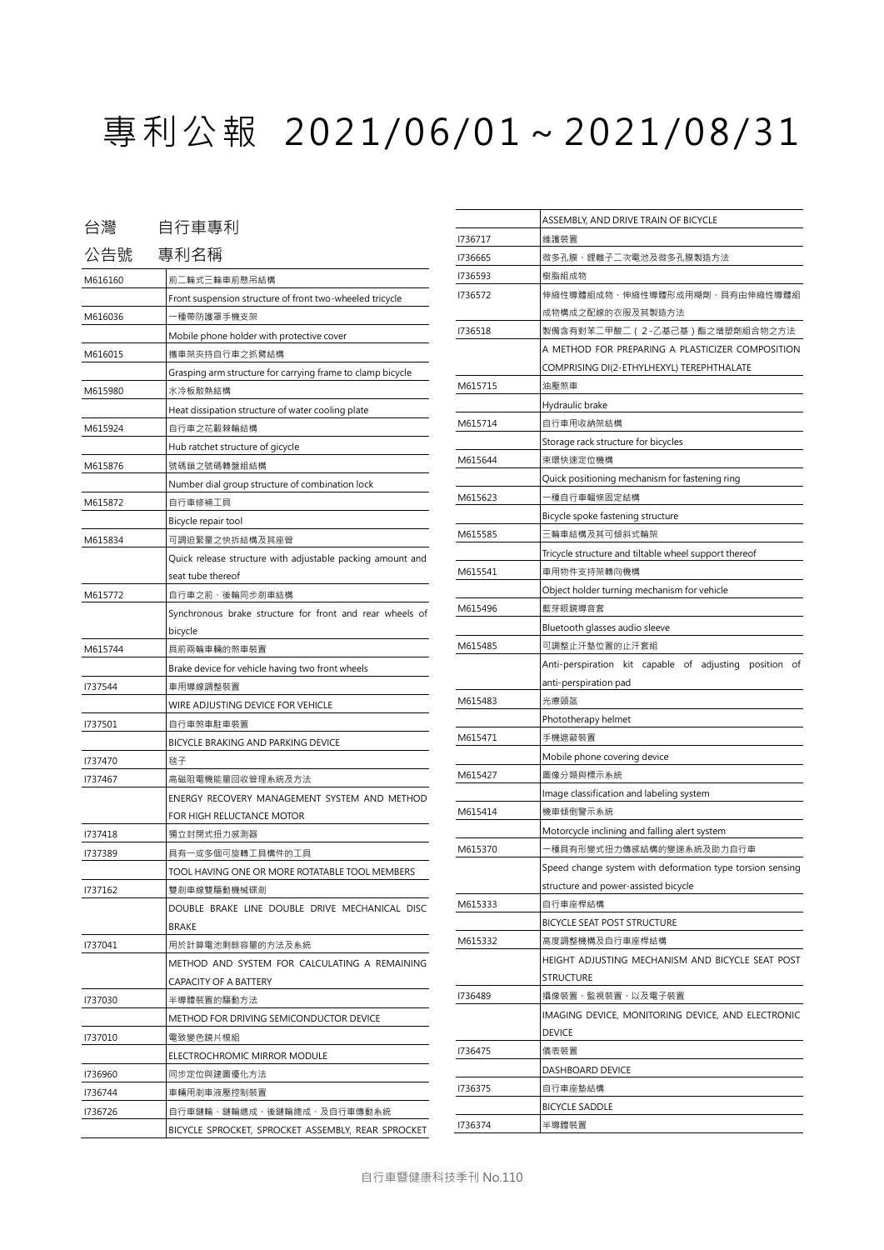## 專利公報 2021/06/01~2021/08/31

| 台灣                       | 自行車專利                                                        |  |
|--------------------------|--------------------------------------------------------------|--|
| 公告號                      | 專利名稱                                                         |  |
| M616160                  | 前二輪式三輪車前懸吊結構                                                 |  |
|                          | Front suspension structure of front two-wheeled tricycle     |  |
| M616036                  | ·種帶防護罩手機支架                                                   |  |
|                          | Mobile phone holder with protective cover                    |  |
| M616015<br>攜車架夾持自行車之抓臂結構 |                                                              |  |
|                          | Grasping arm structure for carrying frame to clamp bicycle   |  |
| M615980                  | 水冷板散熱結構<br>Heat dissipation structure of water cooling plate |  |
|                          |                                                              |  |
| M615924                  | 自行車之花轂棘輪結構                                                   |  |
|                          | Hub ratchet structure of gicycle                             |  |
| M615876                  | 號碼鎖之號碼轉盤組結構                                                  |  |
|                          | Number dial group structure of combination lock              |  |
| M615872                  | 自行車修補工具                                                      |  |
|                          | Bicycle repair tool                                          |  |
| M615834                  | 可調迫緊量之快拆結構及其座管                                               |  |
|                          | Quick release structure with adjustable packing amount and   |  |
|                          | seat tube thereof                                            |  |
| M615772                  | 自行車之前、後輪同步剎車結構                                               |  |
|                          | Synchronous brake structure for front and rear wheels of     |  |
|                          | bicycle                                                      |  |
| M615744                  | 具前兩輪車輛的煞車裝置                                                  |  |
|                          | Brake device for vehicle having two front wheels             |  |
| 1737544                  | 車用導線調整裝置                                                     |  |
|                          | WIRE ADJUSTING DEVICE FOR VEHICLE                            |  |
| 1737501                  | 自行車煞車駐車裝置                                                    |  |
|                          | BICYCLE BRAKING AND PARKING DEVICE                           |  |
| 1737470                  | 毯子                                                           |  |
| 1737467                  | 高磁阻電機能量回收管理系統及方法                                             |  |
|                          | ENERGY RECOVERY MANAGEMENT SYSTEM AND METHOD                 |  |
|                          | FOR HIGH RELUCTANCE MOTOR                                    |  |
| 1737418                  | 獨立封閉式扭力感測器                                                   |  |
| 1737389                  | 具有一或多個可旋轉工具構件的工具                                             |  |
|                          | TOOL HAVING ONE OR MORE ROTATABLE TOOL MEMBERS               |  |
| 1737162                  | 雙剎車線雙驅動機械碟剎                                                  |  |
|                          | DOUBLE BRAKE LINE DOUBLE DRIVE MECHANICAL DISC               |  |
|                          | <b>BRAKE</b>                                                 |  |
| 1737041                  | 用於計算電池剩餘容量的方法及系統                                             |  |
|                          | METHOD AND SYSTEM FOR CALCULATING A REMAINING                |  |
|                          | CAPACITY OF A BATTERY                                        |  |
| 1737030                  | 半導體裝置的驅動方法                                                   |  |
|                          | METHOD FOR DRIVING SEMICONDUCTOR DEVICE                      |  |
| 1737010                  | 電致變色鏡片模組                                                     |  |
|                          | ELECTROCHROMIC MIRROR MODULE                                 |  |
| 1736960                  | 同步定位與建圖優化方法                                                  |  |
| 1736744                  | 車輛用剎車液壓控制裝置                                                  |  |
| 1736726                  | 自行車鏈輪、鏈輪總成、後鏈輪總成、及自行車傳動系統                                    |  |
|                          | BICYCLE SPROCKET, SPROCKET ASSEMBLY, REAR SPROCKET           |  |

|                                          | ASSEMBLY, AND DRIVE TRAIN OF BICYCLE                      |  |
|------------------------------------------|-----------------------------------------------------------|--|
| 1736717                                  | 維護裝置                                                      |  |
| 1736665                                  | 微多孔膜、鋰離子二次電池及微多孔膜製造方法                                     |  |
| 1736593                                  | 樹脂組成物                                                     |  |
| 伸縮性導體組成物、伸縮性導體形成用糊劑、具有由伸縮性導體組<br>1736572 |                                                           |  |
|                                          | 成物構成之配線的衣服及其製造方法                                          |  |
| 1736518                                  | 製備含有對苯二甲酸二 ( 2-乙基己基 ) 酯之增塑劑組合物之方法                         |  |
|                                          | A METHOD FOR PREPARING A PLASTICIZER COMPOSITION          |  |
|                                          | COMPRISING DI(2-ETHYLHEXYL) TEREPHTHALATE                 |  |
| M615715                                  | 油壓煞車                                                      |  |
|                                          | Hydraulic brake                                           |  |
| M615714                                  | 自行車用收納架結構                                                 |  |
|                                          | Storage rack structure for bicycles                       |  |
| M615644                                  | 束環快速定位機構                                                  |  |
|                                          | Quick positioning mechanism for fastening ring            |  |
| M615623                                  | -種自行車輻條固定結構                                               |  |
|                                          | Bicycle spoke fastening structure                         |  |
| M615585                                  | 三輪車結構及其可傾斜式輪架                                             |  |
|                                          | Tricycle structure and tiltable wheel support thereof     |  |
|                                          |                                                           |  |
| M615541                                  | 車用物件支持架轉向機構                                               |  |
|                                          | Object holder turning mechanism for vehicle               |  |
| M615496                                  | 藍芽眼鏡導音套                                                   |  |
|                                          | Bluetooth glasses audio sleeve                            |  |
| M615485                                  | 可調整止汗墊位置的止汗套組                                             |  |
|                                          | Anti-perspiration kit capable of adjusting position of    |  |
|                                          | anti-perspiration pad                                     |  |
| M615483<br>光療頭盔                          |                                                           |  |
|                                          | Phototherapy helmet                                       |  |
| M615471                                  | 手機遮蔽裝置                                                    |  |
|                                          | Mobile phone covering device                              |  |
| M615427                                  | 圖像分類與標示系統                                                 |  |
|                                          | Image classification and labeling system                  |  |
| M615414                                  | 機車傾倒警示系統                                                  |  |
|                                          | Motorcycle inclining and falling alert system             |  |
| M615370                                  | -種具有形變式扭力傳感結構的變速系統及助力自行車                                  |  |
|                                          | Speed change system with deformation type torsion sensing |  |
|                                          | structure and power-assisted bicycle                      |  |
| M615333                                  | 自行車座桿結構                                                   |  |
|                                          | BICYCLE SEAT POST STRUCTURE                               |  |
| M615332                                  | 高度調整機構及自行車座桿結構                                            |  |
|                                          | HEIGHT ADJUSTING MECHANISM AND BICYCLE SEAT POST          |  |
|                                          | <b>STRUCTURE</b>                                          |  |
| 1736489                                  | 攝像裝置、監視裝置、以及電子裝置                                          |  |
|                                          | IMAGING DEVICE, MONITORING DEVICE, AND ELECTRONIC         |  |
|                                          | <b>DEVICE</b>                                             |  |
| 1736475                                  | 儀表裝置                                                      |  |
|                                          | DASHBOARD DEVICE                                          |  |
| 1736375                                  | 自行車座墊結構                                                   |  |
|                                          | <b>BICYCLE SADDLE</b>                                     |  |
| 1736374                                  | 半導體裝置                                                     |  |
|                                          |                                                           |  |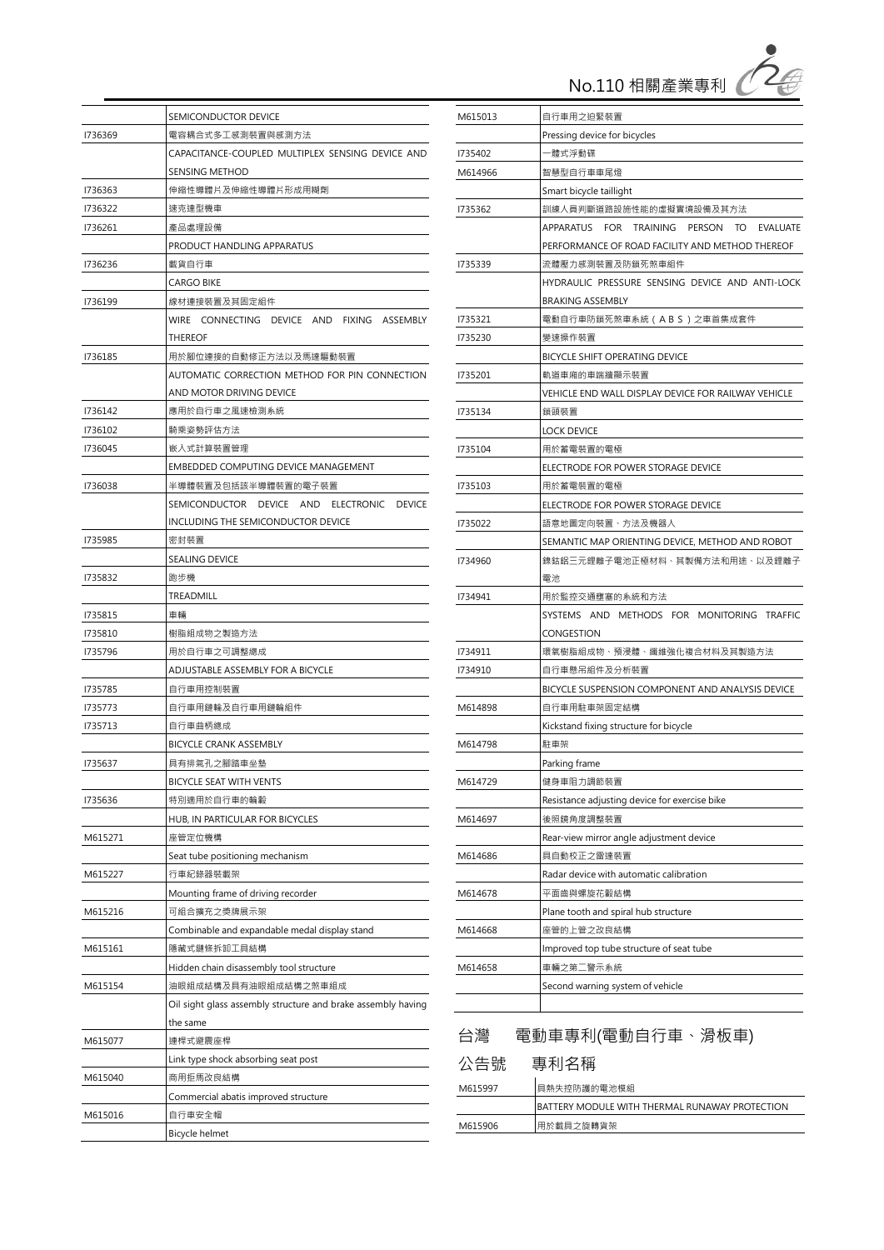

|         | SEMICONDUCTOR DEVICE                                         |  |
|---------|--------------------------------------------------------------|--|
| 1736369 | 電容耦合式多工感測裝置與感測方法                                             |  |
|         | CAPACITANCE-COUPLED MULTIPLEX SENSING DEVICE AND             |  |
|         | SENSING METHOD                                               |  |
| 1736363 | 伸縮性導體片及伸縮性導體片形成用糊劑                                           |  |
| 1736322 | 速克達型機車                                                       |  |
| 1736261 | 產品處理設備                                                       |  |
|         | PRODUCT HANDLING APPARATUS                                   |  |
| 1736236 | 載貨自行車                                                        |  |
|         | CARGO BIKE                                                   |  |
| 1736199 | 線材連接裝置及其固定組件                                                 |  |
|         | WIRE CONNECTING DEVICE AND FIXING ASSEMBLY                   |  |
|         | THEREOF                                                      |  |
| 1736185 | 用於腳位連接的自動修正方法以及馬達驅動裝置                                        |  |
|         | automatic correction method for Pin connection               |  |
|         | AND MOTOR DRIVING DEVICE                                     |  |
| 1736142 | 應用於自行車之風速檢測系統                                                |  |
| 1736102 | 騎乘姿勢評估方法                                                     |  |
| 1736045 | 嵌入式計算裝置管理                                                    |  |
|         | EMBEDDED COMPUTING DEVICE MANAGEMENT                         |  |
| 1736038 | 半導體裝置及包括該半導體裝置的電子裝置                                          |  |
|         | SEMICONDUCTOR DEVICE AND ELECTRONIC DEVICE                   |  |
|         | INCLUDING THE SEMICONDUCTOR DEVICE                           |  |
| 1735985 | 密封裝置                                                         |  |
|         | <b>SEALING DEVICE</b>                                        |  |
| 1735832 | 跑步機                                                          |  |
|         | TREADMILL                                                    |  |
| 1735815 | 車輛                                                           |  |
| 1735810 | 樹脂組成物之製造方法                                                   |  |
| 1735796 | 用於自行車之可調整總成                                                  |  |
|         | ADJUSTABLE ASSEMBLY FOR A BICYCLE                            |  |
| 1735785 | 自行車用控制裝置                                                     |  |
| 1735773 | 自行車用鏈輪及自行車用鏈輪組件                                              |  |
| 1735713 | 自行車曲柄總成                                                      |  |
|         | <b>BICYCLE CRANK ASSEMBLY</b>                                |  |
| 1735637 | 具有排氣孔之腳踏車坐墊                                                  |  |
|         | BICYCLE SEAT WITH VENTS                                      |  |
| 1735636 | 特別適用於自行車的輪轂                                                  |  |
|         | HUB, IN PARTICULAR FOR BICYCLES                              |  |
| M615271 | 座管定位機構                                                       |  |
|         | Seat tube positioning mechanism                              |  |
| M615227 | 行車紀錄器裝載架                                                     |  |
|         | Mounting frame of driving recorder                           |  |
| M615216 | 可組合擴充之獎牌展示架                                                  |  |
|         | Combinable and expandable medal display stand                |  |
| M615161 | 隱藏式鏈條拆卸工具結構                                                  |  |
|         | Hidden chain disassembly tool structure                      |  |
| M615154 | 油眼組成結構及具有油眼組成結構之煞車組成                                         |  |
|         | Oil sight glass assembly structure and brake assembly having |  |
|         | the same                                                     |  |
| M615077 | 連桿式避震座桿                                                      |  |
|         | Link type shock absorbing seat post                          |  |
| M615040 | 商用拒馬改良結構                                                     |  |
|         | Commercial abatis improved structure                         |  |
| M615016 | 自行車安全帽                                                       |  |
|         | Bicycle helmet                                               |  |

| M615013                                    | 自行車用之迫緊裝置                                           |  |  |
|--------------------------------------------|-----------------------------------------------------|--|--|
|                                            | Pressing device for bicycles                        |  |  |
| 1735402                                    | -體式浮動碟                                              |  |  |
| M614966                                    | 智慧型自行車車尾燈                                           |  |  |
|                                            | Smart bicycle taillight                             |  |  |
| 1735362                                    | 訓練人員判斷道路設施性能的虛擬實境設備及其方法                             |  |  |
|                                            | APPARATUS FOR TRAINING PERSON TO<br>EVALUATE        |  |  |
|                                            | PERFORMANCE OF ROAD FACILITY AND METHOD THEREOF     |  |  |
| 1735339                                    | 流體壓力感測裝置及防鎖死煞車組件                                    |  |  |
|                                            | HYDRAULIC PRESSURE SENSING DEVICE AND ANTI-LOCK     |  |  |
|                                            | <b>BRAKING ASSEMBLY</b>                             |  |  |
| 1735321                                    | 電動自行車防鎖死煞車系統 ( ABS ) 之車首集成套件                        |  |  |
| 1735230                                    | 變速操作裝置                                              |  |  |
|                                            | BICYCLE SHIFT OPERATING DEVICE                      |  |  |
| 1735201                                    | 軌道車廂的車端牆顯示裝置                                        |  |  |
|                                            | VEHICLE END WALL DISPLAY DEVICE FOR RAILWAY VEHICLE |  |  |
| 1735134                                    | 鎖頭裝置                                                |  |  |
|                                            | <b>LOCK DEVICE</b>                                  |  |  |
| 1735104                                    | 用於蓄電裝置的電極                                           |  |  |
|                                            | ELECTRODE FOR POWER STORAGE DEVICE                  |  |  |
| 1735103                                    | 用於蓄電裝置的電極                                           |  |  |
|                                            | ELECTRODE FOR POWER STORAGE DEVICE                  |  |  |
| 1735022                                    | 語意地圖定向裝置、方法及機器人                                     |  |  |
|                                            | SEMANTIC MAP ORIENTING DEVICE, METHOD AND ROBOT     |  |  |
| 1734960                                    | 鎳鈷鋁三元鋰離子電池正極材料、其製備方法和用途、以及鋰離子                       |  |  |
| 電池                                         |                                                     |  |  |
| 1734941                                    | 用於監控交通壅塞的系統和方法                                      |  |  |
| SYSTEMS AND METHODS FOR MONITORING TRAFFIC |                                                     |  |  |
|                                            | CONGESTION                                          |  |  |
| 1734911                                    | 環氧樹脂組成物、預浸體、纖維強化複合材料及其製造方法                          |  |  |
| 1734910                                    | 自行車懸吊組件及分析裝置                                        |  |  |
|                                            | BICYCLE SUSPENSION COMPONENT AND ANALYSIS DEVICE    |  |  |
| M614898                                    | 自行車用駐車架固定結構                                         |  |  |
|                                            | Kickstand fixing structure for bicycle              |  |  |
| M614798                                    | 駐車架                                                 |  |  |
|                                            | Parking frame                                       |  |  |
| M614729                                    | 健身車阻力調節裝置                                           |  |  |
|                                            | Resistance adjusting device for exercise bike       |  |  |
| M614697                                    | 後照鏡角度調整裝置                                           |  |  |
| Rear-view mirror angle adjustment device   |                                                     |  |  |
| M614686                                    | 具自動校正之雷達裝置                                          |  |  |
|                                            | Radar device with automatic calibration             |  |  |
| M614678                                    | 平面齒與螺旋花轂結構                                          |  |  |
|                                            | Plane tooth and spiral hub structure                |  |  |
| M614668                                    | 座管的上管之改良結構                                          |  |  |
|                                            | Improved top tube structure of seat tube            |  |  |
| M614658                                    | 車輛之第二警示系統                                           |  |  |
|                                            | Second warning system of vehicle                    |  |  |
|                                            |                                                     |  |  |
|                                            |                                                     |  |  |

| 電動車專利(電動自行車、滑板車)<br>台灣 |
|------------------------|
|------------------------|

| 公告號     | 專利名稱                                           |
|---------|------------------------------------------------|
| M615997 | 具熱失控防護的電池模組                                    |
|         | BATTERY MODULE WITH THERMAL RUNAWAY PROTECTION |
| M615906 | 用於載具之旋轉貨架                                      |
|         |                                                |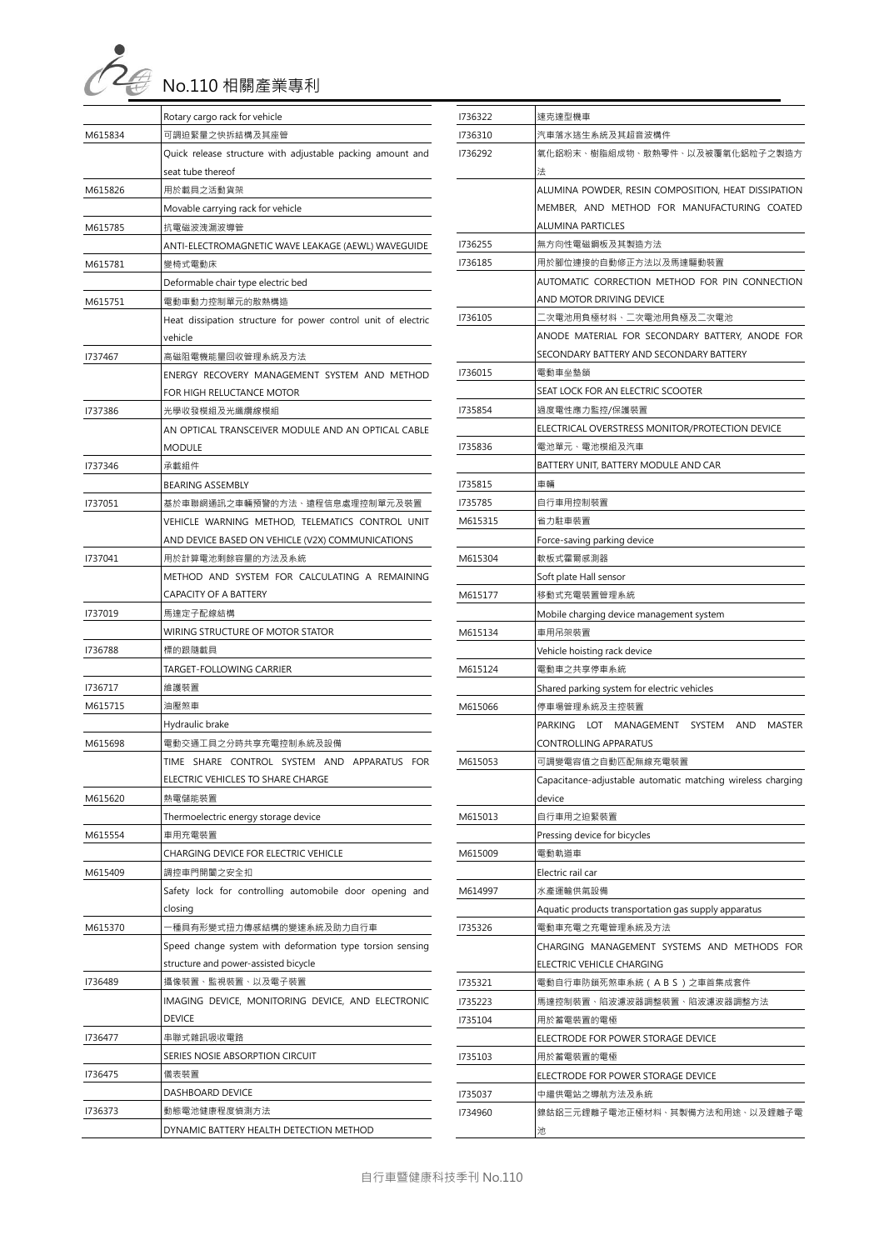

|         | Rotary cargo rack for vehicle                                 |  |
|---------|---------------------------------------------------------------|--|
| M615834 | 可調迫緊量之快拆結構及其座管                                                |  |
|         | Quick release structure with adjustable packing amount and    |  |
|         | seat tube thereof                                             |  |
| M615826 | 用於載具之活動貨架                                                     |  |
|         | Movable carrying rack for vehicle                             |  |
| M615785 | 抗電磁波洩漏波導管                                                     |  |
|         | ANTI-ELECTROMAGNETIC WAVE LEAKAGE (AEWL) WAVEGUIDE            |  |
| M615781 | 變椅式電動床                                                        |  |
|         | Deformable chair type electric bed                            |  |
| M615751 | 電動車動力控制單元的散熱構造                                                |  |
|         | Heat dissipation structure for power control unit of electric |  |
|         | vehicle                                                       |  |
| 1737467 | 高磁阻電機能量回收管理系統及方法                                              |  |
|         | ENERGY RECOVERY MANAGEMENT SYSTEM AND METHOD                  |  |
|         | FOR HIGH RELUCTANCE MOTOR                                     |  |
| 1737386 | 光學收發模組及光纖纜線模組                                                 |  |
|         | AN OPTICAL TRANSCEIVER MODULE AND AN OPTICAL CABLE            |  |
|         | MODULE                                                        |  |
| 1737346 | 承載組件                                                          |  |
|         | <b>BEARING ASSEMBLY</b>                                       |  |
| 1737051 | 基於車聯網通訊之車輛預警的方法、遠程信息處理控制單元及裝置                                 |  |
|         | VEHICLE WARNING METHOD, TELEMATICS CONTROL UNIT               |  |
|         | AND DEVICE BASED ON VEHICLE (V2X) COMMUNICATIONS              |  |
| 1737041 | 用於計算電池剩餘容量的方法及系統                                              |  |
|         | METHOD AND SYSTEM FOR CALCULATING A REMAINING                 |  |
|         | CAPACITY OF A BATTERY                                         |  |
| 1737019 | 馬達定子配線結構                                                      |  |
|         | WIRING STRUCTURE OF MOTOR STATOR                              |  |
| 1736788 | 標的跟隨載具                                                        |  |
|         | TARGET-FOLLOWING CARRIER                                      |  |
| 1736717 | 維護裝置                                                          |  |
| M615715 | 油壓煞車                                                          |  |
|         | Hydraulic brake                                               |  |
| M615698 | 電動交通工具之分時共享充電控制系統及設備                                          |  |
|         | TIME SHARE CONTROL SYSTEM AND APPARATUS FOR                   |  |
|         | ELECTRIC VEHICLES TO SHARE CHARGE                             |  |
| M615620 | 熱電儲能裝置                                                        |  |
|         | Thermoelectric energy storage device                          |  |
| M615554 | 車用充電裝置                                                        |  |
|         | CHARGING DEVICE FOR ELECTRIC VEHICLE                          |  |
| M615409 | 調控車門開闔之安全扣                                                    |  |
|         | Safety lock for controlling automobile door opening and       |  |
|         | closing                                                       |  |
| M615370 | —種具有形變式扭力傳感結構的變速系統及助力自行車                                      |  |
|         | Speed change system with deformation type torsion sensing     |  |
|         | structure and power-assisted bicycle                          |  |
| 1736489 | 攝像裝置、監視裝置、以及電子裝置                                              |  |
|         | IMAGING DEVICE, MONITORING DEVICE, AND ELECTRONIC             |  |
|         | <b>DEVICE</b>                                                 |  |
| 1736477 | 串聯式雜訊吸收電路                                                     |  |
|         | SERIES NOSIE ABSORPTION CIRCUIT                               |  |
| 1736475 | 儀表裝置                                                          |  |
|         | DASHBOARD DEVICE                                              |  |
| 1736373 | 動態電池健康程度偵測方法                                                  |  |
|         | DYNAMIC BATTERY HEALTH DETECTION METHOD                       |  |

| 1736322 | 速克達型機車                                                                                     |  |  |
|---------|--------------------------------------------------------------------------------------------|--|--|
| 1736310 | 汽車落水逃生系統及其超音波構件                                                                            |  |  |
| 1736292 | 氧化鋁粉末、樹脂組成物、散熱零件、以及被覆氧化鋁粒子之製造方                                                             |  |  |
|         | 法                                                                                          |  |  |
|         | ALUMINA POWDER, RESIN COMPOSITION, HEAT DISSIPATION                                        |  |  |
|         | MEMBER, AND METHOD FOR MANUFACTURING COATED                                                |  |  |
|         | <b>ALUMINA PARTICLES</b>                                                                   |  |  |
| 1736255 | 無方向性電磁鋼板及其製造方法                                                                             |  |  |
| 1736185 | 用於腳位連接的自動修正方法以及馬達驅動裝置                                                                      |  |  |
|         | AUTOMATIC CORRECTION METHOD FOR PIN CONNECTION                                             |  |  |
|         | AND MOTOR DRIVING DEVICE                                                                   |  |  |
| 1736105 | 二次電池用負極材料、二次電池用負極及二次電池                                                                     |  |  |
|         | ANODE MATERIAL FOR SECONDARY BATTERY, ANODE FOR<br>SECONDARY BATTERY AND SECONDARY BATTERY |  |  |
| 1736015 | 電動車坐墊鎖                                                                                     |  |  |
|         |                                                                                            |  |  |
| 1735854 | SEAT LOCK FOR AN ELECTRIC SCOOTER<br>過度電性應力監控/保護裝置                                         |  |  |
|         | ELECTRICAL OVERSTRESS MONITOR/PROTECTION DEVICE                                            |  |  |
| 1735836 | 電池單元、電池模組及汽車                                                                               |  |  |
|         | BATTERY UNIT, BATTERY MODULE AND CAR                                                       |  |  |
| 1735815 | 車輛                                                                                         |  |  |
| 1735785 | 自行車用控制裝置                                                                                   |  |  |
| M615315 | 省力駐車裝置                                                                                     |  |  |
|         | Force-saving parking device                                                                |  |  |
| M615304 | 軟板式霍爾感測器                                                                                   |  |  |
|         | Soft plate Hall sensor                                                                     |  |  |
| M615177 | 移動式充電裝置管理系統                                                                                |  |  |
|         | Mobile charging device management system                                                   |  |  |
| M615134 | 車用吊架裝置                                                                                     |  |  |
|         | Vehicle hoisting rack device                                                               |  |  |
| M615124 | 電動車之共享停車系統                                                                                 |  |  |
|         | Shared parking system for electric vehicles                                                |  |  |
| M615066 | 停車場管理系統及主控裝置                                                                               |  |  |
|         | PARKING LOT MANAGEMENT<br>SYSTEM<br>AND<br>MASTER                                          |  |  |
|         | CONTROLLING APPARATUS                                                                      |  |  |
| M615053 | 可調變電容值之自動匹配無線充電裝置                                                                          |  |  |
|         | Capacitance-adjustable automatic matching wireless charging                                |  |  |
|         | device                                                                                     |  |  |
| M615013 | 自行車用之迫緊裝置                                                                                  |  |  |
|         | Pressing device for bicycles                                                               |  |  |
| M615009 | 電動軌道車                                                                                      |  |  |
|         | Electric rail car                                                                          |  |  |
| M614997 | 水產運輸供氣設備                                                                                   |  |  |
|         | Aquatic products transportation gas supply apparatus                                       |  |  |
| 1735326 | 電動車充電之充電管理系統及方法                                                                            |  |  |
|         | CHARGING MANAGEMENT SYSTEMS AND METHODS FOR                                                |  |  |
|         | ELECTRIC VEHICLE CHARGING                                                                  |  |  |
| 1735321 | 電動自行車防鎖死煞車系統 ( ABS ) 之車首集成套件                                                               |  |  |
| 1735223 | 馬達控制裝置、陷波濾波器調整裝置、陷波濾波器調整方法                                                                 |  |  |
| 1735104 | 用於蓄電裝置的電極                                                                                  |  |  |
|         | ELECTRODE FOR POWER STORAGE DEVICE                                                         |  |  |
| 1735103 | 用於蓄電裝置的電極                                                                                  |  |  |
|         | ELECTRODE FOR POWER STORAGE DEVICE                                                         |  |  |
| 1735037 | 中繼供電站之導航方法及系統                                                                              |  |  |
| 1734960 | 鎳鈷鋁三元鋰離子電池正極材料、其製備方法和用途、以及鋰離子電                                                             |  |  |
|         | 池                                                                                          |  |  |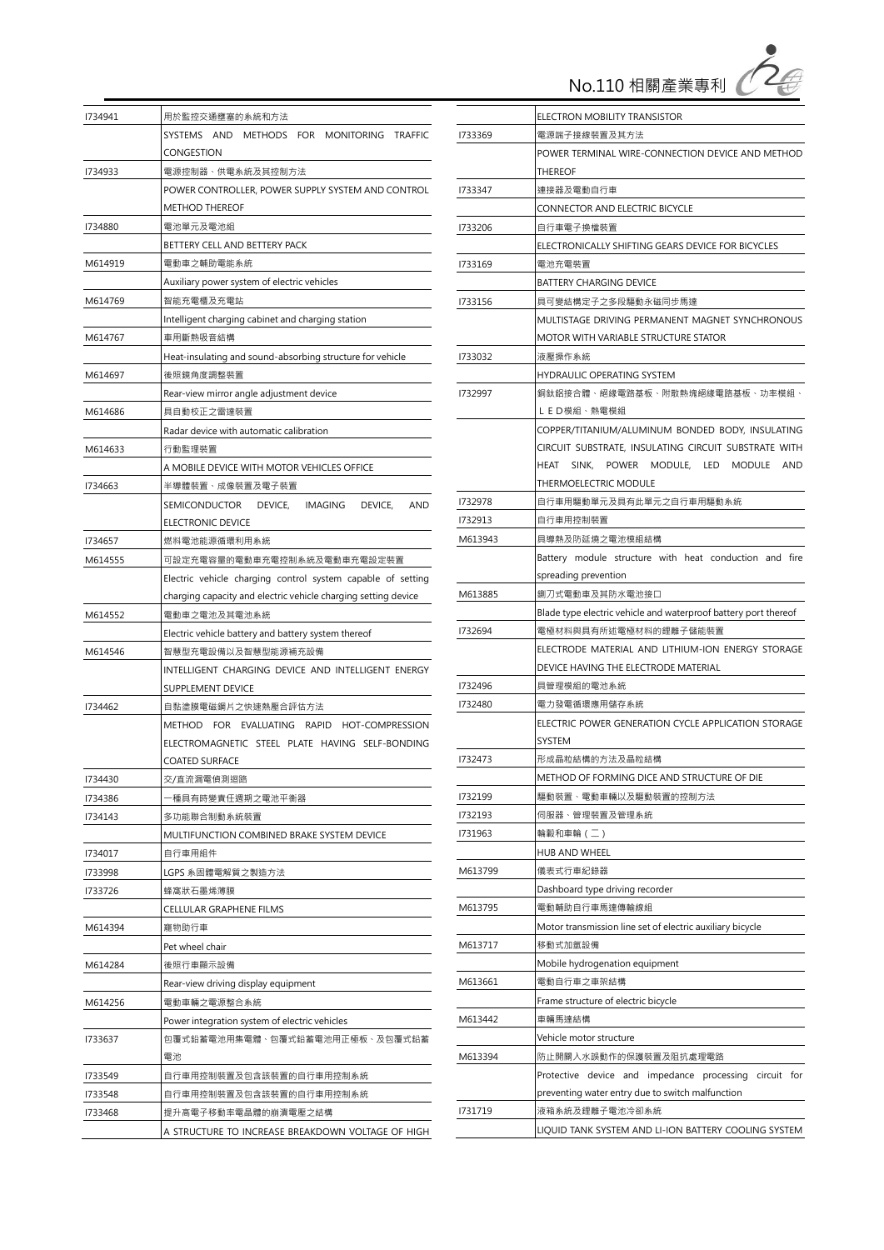No.110 相關產業專利

Ź

| 1734941                                                     | 用於監控交通壅塞的系統和方法                                                 |  |  |  |
|-------------------------------------------------------------|----------------------------------------------------------------|--|--|--|
|                                                             | SYSTEMS AND METHODS FOR MONITORING TRAFFIC                     |  |  |  |
|                                                             | CONGESTION                                                     |  |  |  |
| 1734933                                                     | 電源控制器、供電系統及其控制方法                                               |  |  |  |
|                                                             | POWER CONTROLLER, POWER SUPPLY SYSTEM AND CONTROL              |  |  |  |
|                                                             | <b>METHOD THEREOF</b>                                          |  |  |  |
| 1734880                                                     | 電池單元及電池組                                                       |  |  |  |
|                                                             | BETTERY CELL AND BETTERY PACK                                  |  |  |  |
| M614919                                                     | 電動車之輔助電能系統                                                     |  |  |  |
|                                                             | Auxiliary power system of electric vehicles                    |  |  |  |
| M614769                                                     | 智能充電櫃及充電站                                                      |  |  |  |
|                                                             | Intelligent charging cabinet and charging station              |  |  |  |
| M614767                                                     | 車用斷熱吸音結構                                                       |  |  |  |
|                                                             | Heat-insulating and sound-absorbing structure for vehicle      |  |  |  |
| M614697                                                     | 後照鏡角度調整裝置                                                      |  |  |  |
|                                                             | Rear-view mirror angle adjustment device                       |  |  |  |
| M614686                                                     | 具自動校正之雷達裝置                                                     |  |  |  |
|                                                             | Radar device with automatic calibration                        |  |  |  |
| M614633                                                     | 行動監理裝置                                                         |  |  |  |
|                                                             | A MOBILE DEVICE WITH MOTOR VEHICLES OFFICE                     |  |  |  |
| 1734663                                                     | 半導體裝置、成像裝置及電子裝置                                                |  |  |  |
|                                                             | SEMICONDUCTOR DEVICE, IMAGING DEVICE,<br><b>AND</b>            |  |  |  |
|                                                             | ELECTRONIC DEVICE                                              |  |  |  |
| 1734657                                                     | 燃料電池能源循環利用系統                                                   |  |  |  |
| M614555                                                     | 可設定充電容量的電動車充電控制系統及電動車充電設定裝置                                    |  |  |  |
| Electric vehicle charging control system capable of setting |                                                                |  |  |  |
|                                                             | charging capacity and electric vehicle charging setting device |  |  |  |
| M614552                                                     | 電動車之電池及其電池系統                                                   |  |  |  |
|                                                             | Electric vehicle battery and battery system thereof            |  |  |  |
| M614546                                                     | 智慧型充電設備以及智慧型能源補充設備                                             |  |  |  |
|                                                             | INTELLIGENT CHARGING DEVICE AND INTELLIGENT ENERGY             |  |  |  |
|                                                             | <b>SUPPLEMENT DEVICE</b>                                       |  |  |  |
| 1734462                                                     | 自黏塗膜電磁鋼片之快速熱壓合評估方法                                             |  |  |  |
|                                                             | METHOD FOR EVALUATING RAPID HOT-COMPRESSION                    |  |  |  |
|                                                             | ELECTROMAGNETIC STEEL PLATE HAVING SELF-BONDING                |  |  |  |
|                                                             | COATED SURFACE                                                 |  |  |  |
| 1734430                                                     | 交/直流漏電偵測迴路                                                     |  |  |  |
| 1734386                                                     | 種具有時變責任週期之電池平衡器                                                |  |  |  |
| 1734143                                                     | 多功能聯合制動系統裝置                                                    |  |  |  |
|                                                             | MULTIFUNCTION COMBINED BRAKE SYSTEM DEVICE                     |  |  |  |
| 1734017                                                     | 自行車用組件                                                         |  |  |  |
| 1733998                                                     | LGPS 系固體電解質之製造方法                                               |  |  |  |
| 1733726                                                     | 蜂窩狀石墨烯薄膜                                                       |  |  |  |
|                                                             | CELLULAR GRAPHENE FILMS                                        |  |  |  |
| M614394                                                     | 寵物助行車                                                          |  |  |  |
|                                                             | Pet wheel chair                                                |  |  |  |
| M614284                                                     | 後照行車顯示設備                                                       |  |  |  |
|                                                             | Rear-view driving display equipment                            |  |  |  |
| M614256<br>電動車輛之電源整合系統                                      |                                                                |  |  |  |
|                                                             | Power integration system of electric vehicles                  |  |  |  |
| 1733637                                                     | 包覆式鉛蓄電池用集電體、包覆式鉛蓄電池用正極板、及包覆式鉛蓄                                 |  |  |  |
|                                                             | 電池                                                             |  |  |  |
| 1733549                                                     | 自行車用控制裝置及包含該裝置的自行車用控制系統                                        |  |  |  |
| 1733548                                                     | 自行車用控制裝置及包含該裝置的自行車用控制系統                                        |  |  |  |
| 1733468                                                     | 提升高電子移動率電晶體的崩潰電壓之結構                                            |  |  |  |
|                                                             | A STRUCTURE TO INCREASE BREAKDOWN VOLTAGE OF HIGH              |  |  |  |

|                                      | ELECTRON MOBILITY TRANSISTOR                                    |  |
|--------------------------------------|-----------------------------------------------------------------|--|
| 1733369                              | 電源端子接線裝置及其方法                                                    |  |
|                                      | POWER TERMINAL WIRE-CONNECTION DEVICE AND METHOD                |  |
|                                      | THEREOF                                                         |  |
| 1733347                              | 連接器及電動自行車                                                       |  |
|                                      | CONNECTOR AND ELECTRIC BICYCLE                                  |  |
| 1733206                              | 自行車電子換檔裝置                                                       |  |
|                                      | ELECTRONICALLY SHIFTING GEARS DEVICE FOR BICYCLES               |  |
| 1733169                              | 電池充電裝置                                                          |  |
|                                      | <b>BATTERY CHARGING DEVICE</b>                                  |  |
| 1733156                              | 具可變結構定子之多段驅動永磁同步馬達                                              |  |
|                                      | MULTISTAGE DRIVING PERMANENT MAGNET SYNCHRONOUS                 |  |
|                                      | MOTOR WITH VARIABLE STRUCTURE STATOR                            |  |
| 1733032                              | 液壓操作系統                                                          |  |
|                                      | HYDRAULIC OPERATING SYSTEM                                      |  |
| 1732997                              | 銅鈦鋁接合體、絕緣電路基板、附散熱塊絕緣電路基板、功率模組、                                  |  |
|                                      | LED模組、熱電模組                                                      |  |
|                                      | COPPER/TITANIUM/ALUMINUM BONDED BODY, INSULATING                |  |
|                                      | CIRCUIT SUBSTRATE, INSULATING CIRCUIT SUBSTRATE WITH            |  |
|                                      | SINK, POWER MODULE, LED MODULE AND<br>HEAT                      |  |
|                                      | THERMOELECTRIC MODULE                                           |  |
| 1732978                              | 自行車用驅動單元及具有此單元之自行車用驅動系統                                         |  |
| 1732913                              | 自行車用控制裝置                                                        |  |
| M613943                              | 具導熱及防延燒之電池模組結構                                                  |  |
|                                      | Battery module structure with heat conduction and fire          |  |
|                                      | spreading prevention                                            |  |
| M613885                              | 鍘刀式電動車及其防水電池接口                                                  |  |
|                                      | Blade type electric vehicle and waterproof battery port thereof |  |
| 1732694                              | 電極材料與具有所述電極材料的鋰離子儲能裝置                                           |  |
|                                      | ELECTRODE MATERIAL AND LITHIUM-ION ENERGY STORAGE               |  |
| DEVICE HAVING THE ELECTRODE MATERIAL |                                                                 |  |
| 1732496                              | 具管理模組的電池系統                                                      |  |
| 1732480                              | 電力發電循環應用儲存系統                                                    |  |
|                                      | ELECTRIC POWER GENERATION CYCLE APPLICATION STORAGE             |  |
|                                      | SYSTEM                                                          |  |
| 1732473                              | 形成晶粒結構的方法及晶粒結構                                                  |  |
|                                      | METHOD OF FORMING DICE AND STRUCTURE OF DIE                     |  |
| 1732199                              | 驅動裝置、電動車輛以及驅動裝置的控制方法                                            |  |
| 1732193                              | 伺服器、管理裝置及管理系統                                                   |  |
| 1731963                              | 輪轂和車輪 (二)                                                       |  |
|                                      | HUB AND WHEEL                                                   |  |
| M613799                              | 儀表式行車紀錄器                                                        |  |
|                                      | Dashboard type driving recorder                                 |  |
| M613795                              | 電動輔助自行車馬達傳輸線組                                                   |  |
|                                      | Motor transmission line set of electric auxiliary bicycle       |  |
| M613717                              | 移動式加氫設備                                                         |  |
|                                      | Mobile hydrogenation equipment                                  |  |
| M613661                              | 電動自行車之車架結構                                                      |  |
|                                      | Frame structure of electric bicycle                             |  |
| M613442                              | 車輛馬達結構                                                          |  |
|                                      | Vehicle motor structure                                         |  |
| M613394                              | 防止開關入水誤動作的保護裝置及阻抗處理電路                                           |  |
|                                      | circuit for<br>Protective device and impedance processing       |  |
|                                      | preventing water entry due to switch malfunction                |  |
| 1731719                              | 液箱系統及鋰離子電池冷卻系統                                                  |  |
|                                      | LIQUID TANK SYSTEM AND LI-ION BATTERY COOLING SYSTEM            |  |
|                                      |                                                                 |  |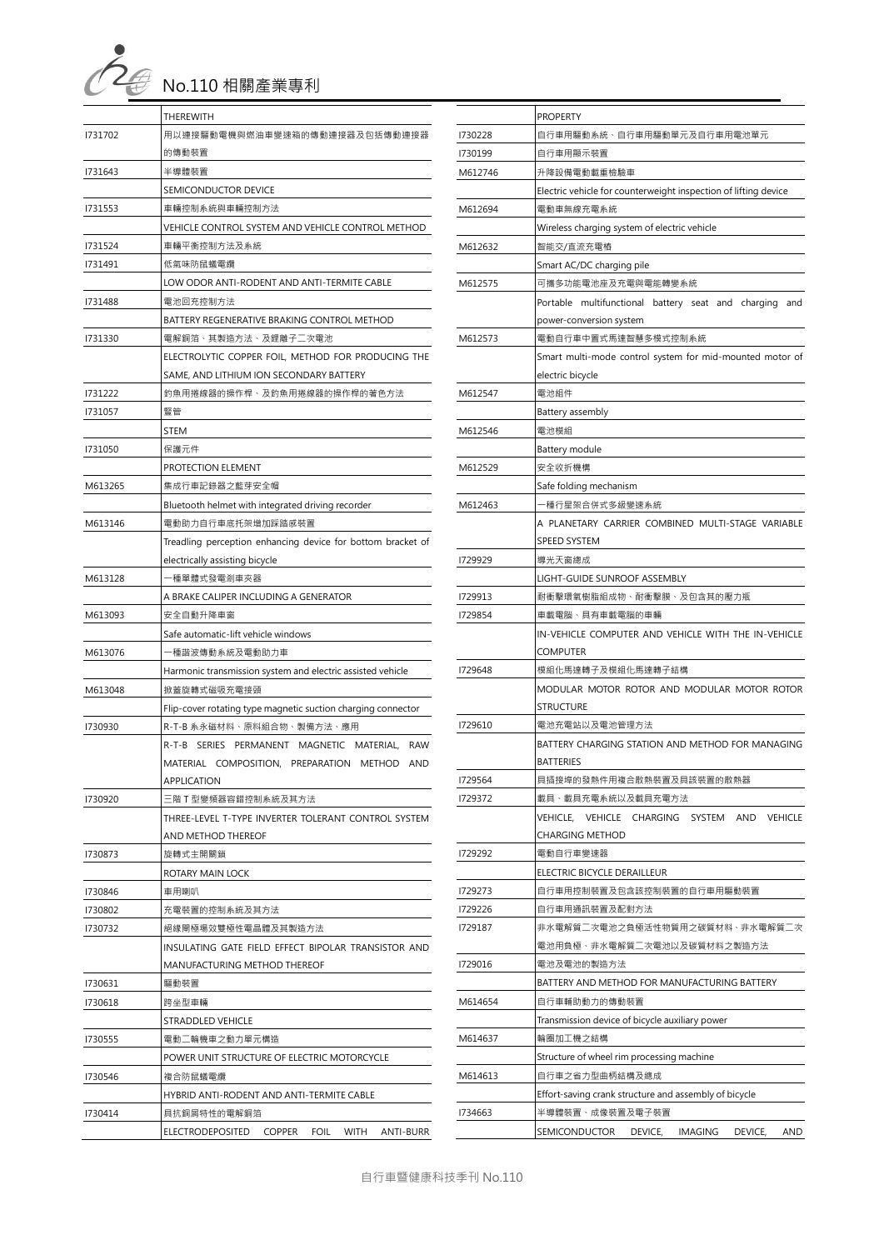|  | No.110 相關產業專利 |
|--|---------------|

|                                       | THEREWITH                                                    |  |  |
|---------------------------------------|--------------------------------------------------------------|--|--|
| 1731702                               | 用以連接驅動電機與燃油車變速箱的傳動連接器及包括傳動連接器                                |  |  |
|                                       | 的傳動裝置                                                        |  |  |
| 1731643                               | 半導體裝置<br>SEMICONDUCTOR DEVICE                                |  |  |
|                                       |                                                              |  |  |
| 1731553                               | 車輛控制系統與車輛控制方法                                                |  |  |
|                                       | VEHICLE CONTROL SYSTEM AND VEHICLE CONTROL METHOD            |  |  |
| 1731524                               | 車輛平衡控制方法及系統                                                  |  |  |
| 1731491                               | 低氣味防鼠蟻電纜                                                     |  |  |
|                                       | LOW ODOR ANTI-RODENT AND ANTI-TERMITE CABLE                  |  |  |
| 1731488                               | 電池回充控制方法                                                     |  |  |
|                                       | BATTERY REGENERATIVE BRAKING CONTROL METHOD                  |  |  |
| 1731330                               | 電解銅箔、其製造方法、及鋰離子二次電池                                          |  |  |
|                                       | ELECTROLYTIC COPPER FOIL, METHOD FOR PRODUCING THE           |  |  |
|                                       | SAME, AND LITHIUM ION SECONDARY BATTERY                      |  |  |
| 1731222                               | 釣魚用捲線器的操作桿、及釣魚用捲線器的操作桿的著色方法                                  |  |  |
| 1731057                               | 豎管                                                           |  |  |
|                                       | STEM                                                         |  |  |
|                                       |                                                              |  |  |
| 1731050                               | 保護元件                                                         |  |  |
|                                       | PROTECTION ELEMENT                                           |  |  |
| M613265                               | 集成行車記錄器之藍芽安全帽                                                |  |  |
|                                       | Bluetooth helmet with integrated driving recorder            |  |  |
| M613146                               | 電動助力自行車底托架增加踩踏感裝置                                            |  |  |
|                                       | Treadling perception enhancing device for bottom bracket of  |  |  |
| electrically assisting bicycle        |                                                              |  |  |
| M613128<br>-種單體式發電剎車夾器                |                                                              |  |  |
| A BRAKE CALIPER INCLUDING A GENERATOR |                                                              |  |  |
| M613093                               | 安全自動升降車窗                                                     |  |  |
|                                       | Safe automatic-lift vehicle windows                          |  |  |
| M613076                               | -種諧波傳動系統及電動助力車                                               |  |  |
|                                       | Harmonic transmission system and electric assisted vehicle   |  |  |
| M613048                               | 掀蓋旋轉式磁吸充電接頭                                                  |  |  |
|                                       | Flip-cover rotating type magnetic suction charging connector |  |  |
| 1730930                               | R-T-B 系永磁材料、原料組合物、製備方法、應用                                    |  |  |
|                                       | R-T-B SERIES PERMANENT MAGNETIC MATERIAL, RAW                |  |  |
|                                       | MATERIAL COMPOSITION, PREPARATION METHOD AND                 |  |  |
|                                       | APPLICATION                                                  |  |  |
| 1730920                               | E階 T 型孿頻器容錯控制系統及其方法                                          |  |  |
|                                       | THREE-LEVEL T-TYPE INVERTER TOLERANT CONTROL SYSTEM          |  |  |
|                                       | AND METHOD THEREOF                                           |  |  |
| 1730873                               | 旋轉式主開關鎖                                                      |  |  |
|                                       | ROTARY MAIN LOCK                                             |  |  |
| 1730846                               | 車用喇叭                                                         |  |  |
| 1730802                               | 充電裝置的控制系統及其方法                                                |  |  |
| 1730732                               | 絕緣閘極場效雙極性電晶體及其製造方法                                           |  |  |
|                                       | INSULATING GATE FIELD EFFECT BIPOLAR TRANSISTOR AND          |  |  |
|                                       | MANUFACTURING METHOD THEREOF                                 |  |  |
| 1730631                               | 驅動裝置                                                         |  |  |
| 1730618                               | 跨坐型車輛                                                        |  |  |
|                                       | <b>STRADDLED VEHICLE</b>                                     |  |  |
| 1730555                               | 電動二輪機車之動力單元構造                                                |  |  |
|                                       | POWER UNIT STRUCTURE OF ELECTRIC MOTORCYCLE                  |  |  |
| 1730546                               | 複合防鼠蟻電纜                                                      |  |  |
|                                       | HYBRID ANTI-RODENT AND ANTI-TERMITE CABLE                    |  |  |
| 1730414                               | 具抗銅屑特性的電解銅箔                                                  |  |  |
|                                       | ELECTRODEPOSITED COPPER FOIL WITH<br>ANTI-BURR               |  |  |

|         | <b>PROPERTY</b>                                                 |
|---------|-----------------------------------------------------------------|
| 1730228 | 自行車用驅動系統、自行車用驅動單元及自行車用電池單元                                      |
| 1730199 | 自行車用顯示裝置                                                        |
| M612746 | 升降設備電動載重檢驗車                                                     |
|         | Electric vehicle for counterweight inspection of lifting device |
| M612694 | 電動車無線充電系統                                                       |
|         | Wireless charging system of electric vehicle                    |
| M612632 | 智能交/直流充電樁                                                       |
|         | Smart AC/DC charging pile                                       |
| M612575 | 可攜多功能電池座及充電與電能轉變系統                                              |
|         | Portable multifunctional battery seat and charging<br>and       |
|         | power-conversion system                                         |
| M612573 | 電動自行車中置式馬達智慧多模式控制系統                                             |
|         | Smart multi-mode control system for mid-mounted motor of        |
|         | electric bicycle                                                |
| M612547 | 電池組件                                                            |
|         | Battery assembly                                                |
| M612546 | 電池模組                                                            |
|         | Battery module                                                  |
| M612529 | 安全收折機構                                                          |
|         | Safe folding mechanism                                          |
| M612463 | -種行星架合併式多級變速系統                                                  |
|         | A PLANETARY CARRIER COMBINED MULTI-STAGE VARIABLE               |
|         | <b>SPEED SYSTEM</b>                                             |
| 1729929 | 導光天窗總成                                                          |
|         | LIGHT-GUIDE SUNROOF ASSEMBLY                                    |
| 1729913 | 耐衝擊環氧樹脂組成物、耐衝擊膜、及包含其的壓力瓶                                        |
| 1729854 | 車載電腦、具有車載電腦的車輛                                                  |
|         | IN-VEHICLE COMPUTER AND VEHICLE WITH THE IN-VEHICLE             |
|         | COMPUTER                                                        |
| 1729648 | 模組化馬達轉子及模組化馬達轉子結構                                               |
|         | MODULAR MOTOR ROTOR AND MODULAR MOTOR ROTOR                     |
| 1729610 | STRUCTURE<br>電池充電站以及電池管理方法                                      |
|         | BATTERY CHARGING STATION AND METHOD FOR MANAGING                |
|         | <b>BATTERIES</b>                                                |
| 1729564 | 具插接埠的發熱件用複合散熱裝置及具該裝置的散熱器                                        |
| 1729372 | 載具、載具充電系統以及載具充電方法                                               |
|         | VEHICLE, VEHICLE CHARGING<br>SYSTEM AND<br><b>VEHICLE</b>       |
|         | <b>CHARGING METHOD</b>                                          |
| 1729292 | 電動自行車變速器                                                        |
|         | ELECTRIC BICYCLE DERAILLEUR                                     |
| 1729273 | 自行車用控制裝置及包含該控制裝置的自行車用驅動裝置                                       |
| 1729226 | 自行車用通訊裝置及配對方法                                                   |
| 1729187 | 非水電解質二次電池之負極活性物質用之碳質材料、非水電解質二次                                  |
|         | 電池用負極、非水電解質二次電池以及碳質材料之製造方法                                      |
| 1729016 | 電池及電池的製造方法                                                      |
|         | BATTERY AND METHOD FOR MANUFACTURING BATTERY                    |
| M614654 | 自行車輔助動力的傳動裝置                                                    |
|         | Transmission device of bicycle auxiliary power                  |
| M614637 | 輪圈加工機之結構                                                        |
|         | Structure of wheel rim processing machine                       |
| M614613 | 自行車之省力型曲柄結構及總成                                                  |
|         | Effort-saving crank structure and assembly of bicycle           |
| 1734663 | 半導體裝置、成像裝置及電子裝置                                                 |
|         | SEMICONDUCTOR<br>DEVICE,<br>IMAGING<br>DEVICE,<br>AND           |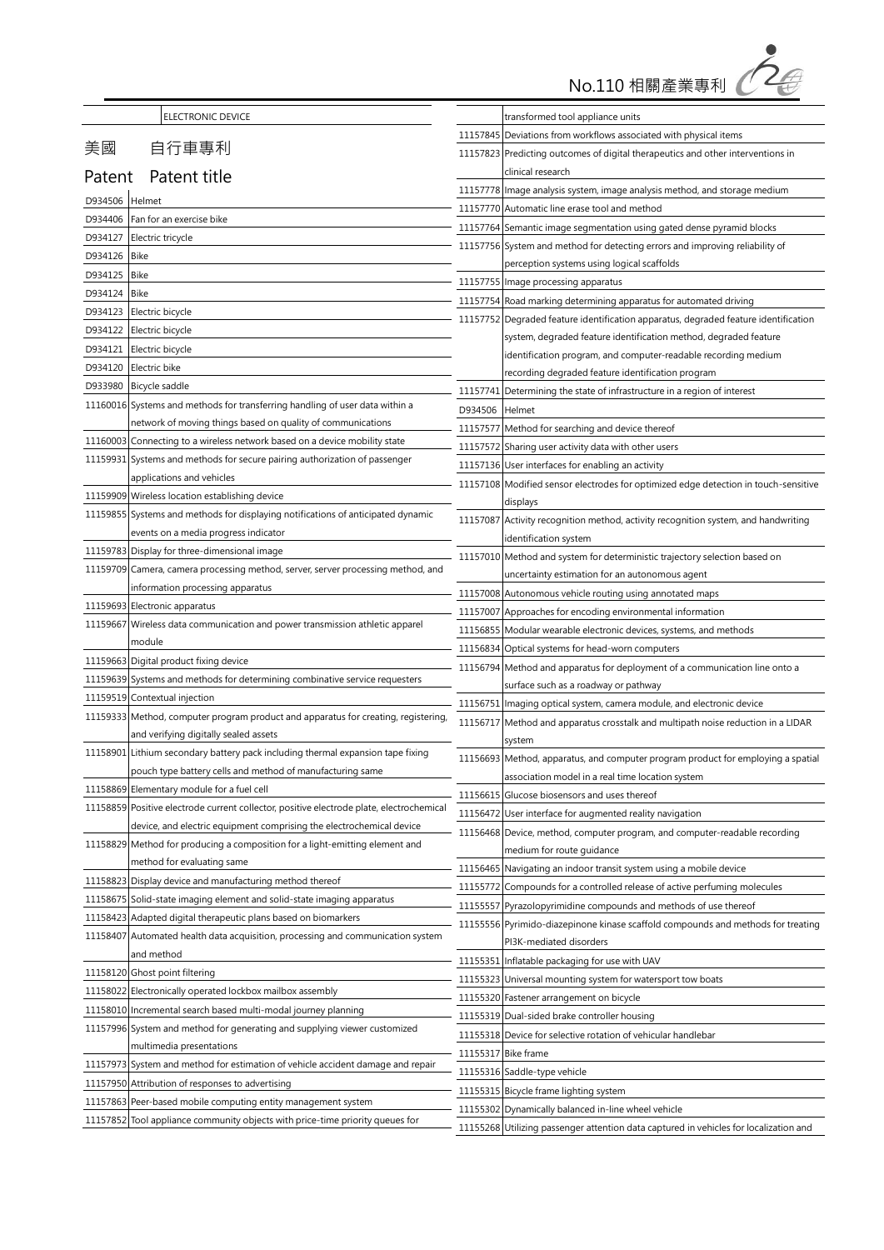

| ELECTRONIC DEVICE                                                                                                                              | transformed tool appliance units                                                                |
|------------------------------------------------------------------------------------------------------------------------------------------------|-------------------------------------------------------------------------------------------------|
|                                                                                                                                                | 11157845 Deviations from workflows associated with physical items                               |
| 美國<br>自行車專利                                                                                                                                    | 11157823 Predicting outcomes of digital therapeutics and other interventions in                 |
| Patent title<br>Patent                                                                                                                         | clinical research                                                                               |
| D934506<br>Helmet                                                                                                                              | 11157778 Image analysis system, image analysis method, and storage medium                       |
| Fan for an exercise bike<br>D934406                                                                                                            | 11157770 Automatic line erase tool and method                                                   |
| D934127<br>Electric tricycle                                                                                                                   | 11157764 Semantic image segmentation using gated dense pyramid blocks                           |
| D934126<br>Bike                                                                                                                                | 11157756 System and method for detecting errors and improving reliability of                    |
| D934125<br><b>Bike</b>                                                                                                                         | perception systems using logical scaffolds                                                      |
| D934124<br>Bike                                                                                                                                | 11157755 Image processing apparatus                                                             |
| D934123<br>Electric bicycle                                                                                                                    | 11157754 Road marking determining apparatus for automated driving                               |
| D934122<br>Electric bicycle                                                                                                                    | 11157752 Degraded feature identification apparatus, degraded feature identification             |
| D934121<br>Electric bicycle                                                                                                                    | system, degraded feature identification method, degraded feature                                |
| D934120<br>Electric bike                                                                                                                       | identification program, and computer-readable recording medium                                  |
| D933980<br>Bicycle saddle                                                                                                                      | recording degraded feature identification program                                               |
| 11160016<br>Systems and methods for transferring handling of user data within a                                                                | Determining the state of infrastructure in a region of interest<br>11157741                     |
| network of moving things based on quality of communications                                                                                    | D934506<br>Helmet                                                                               |
| Connecting to a wireless network based on a device mobility state<br>11160003                                                                  | 11157577 Method for searching and device thereof                                                |
| 11159931<br>Systems and methods for secure pairing authorization of passenger                                                                  | 11157572 Sharing user activity data with other users                                            |
| applications and vehicles                                                                                                                      | 11157136 User interfaces for enabling an activity                                               |
| 11159909<br>Wireless location establishing device                                                                                              | 11157108 Modified sensor electrodes for optimized edge detection in touch-sensitive<br>displays |
| Systems and methods for displaying notifications of anticipated dynamic<br>11159855                                                            | Activity recognition method, activity recognition system, and handwriting<br>11157087           |
| events on a media progress indicator                                                                                                           | identification system                                                                           |
| Display for three-dimensional image<br>11159783                                                                                                | 11157010 Method and system for deterministic trajectory selection based on                      |
| Camera, camera processing method, server, server processing method, and<br>11159709                                                            | uncertainty estimation for an autonomous agent                                                  |
| information processing apparatus                                                                                                               | 11157008 Autonomous vehicle routing using annotated maps                                        |
| 11159693<br>Electronic apparatus                                                                                                               | Approaches for encoding environmental information<br>11157007                                   |
| 11159667<br>Wireless data communication and power transmission athletic apparel                                                                | 11156855<br>Modular wearable electronic devices, systems, and methods                           |
| module                                                                                                                                         | 11156834<br>Optical systems for head-worn computers                                             |
| 11159663<br>Digital product fixing device                                                                                                      | Method and apparatus for deployment of a communication line onto a<br>11156794                  |
| Systems and methods for determining combinative service requesters<br>11159639                                                                 | surface such as a roadway or pathway                                                            |
| 11159519<br>Contextual injection                                                                                                               | Imaging optical system, camera module, and electronic device<br>11156751                        |
| 11159333<br>Method, computer program product and apparatus for creating, registering,                                                          | 11156717<br>Method and apparatus crosstalk and multipath noise reduction in a LIDAR             |
| and verifying digitally sealed assets                                                                                                          | system                                                                                          |
| 11158901<br>Lithium secondary battery pack including thermal expansion tape fixing                                                             | 11156693 Method, apparatus, and computer program product for employing a spatial                |
| pouch type battery cells and method of manufacturing same                                                                                      | association model in a real time location system                                                |
| 11158869<br>Elementary module for a fuel cell                                                                                                  | Glucose biosensors and uses thereof<br>11156615                                                 |
| 11158859<br>Positive electrode current collector, positive electrode plate, electrochemical                                                    | 11156472 User interface for augmented reality navigation                                        |
| device, and electric equipment comprising the electrochemical device                                                                           | 11156468 Device, method, computer program, and computer-readable recording                      |
| 11158829<br>Method for producing a composition for a light-emitting element and                                                                | medium for route guidance                                                                       |
| method for evaluating same                                                                                                                     | Navigating an indoor transit system using a mobile device<br>11156465                           |
| 11158823<br>Display device and manufacturing method thereof                                                                                    | Compounds for a controlled release of active perfuming molecules<br>11155772                    |
| Solid-state imaging element and solid-state imaging apparatus<br>11158675<br>11158423<br>Adapted digital therapeutic plans based on biomarkers | Pyrazolopyrimidine compounds and methods of use thereof<br>11155557                             |
| Automated health data acquisition, processing and communication system<br>11158407                                                             | Pyrimido-diazepinone kinase scaffold compounds and methods for treating<br>11155556             |
| and method                                                                                                                                     | PI3K-mediated disorders                                                                         |
| 11158120<br>Ghost point filtering                                                                                                              | Inflatable packaging for use with UAV<br>11155351                                               |
| Electronically operated lockbox mailbox assembly<br>11158022                                                                                   | Universal mounting system for watersport tow boats<br>11155323                                  |
| 11158010<br>Incremental search based multi-modal journey planning                                                                              | 11155320 Fastener arrangement on bicycle                                                        |
| System and method for generating and supplying viewer customized<br>11157996                                                                   | 11155319 Dual-sided brake controller housing                                                    |
| multimedia presentations                                                                                                                       | 11155318 Device for selective rotation of vehicular handlebar                                   |
| 11157973<br>System and method for estimation of vehicle accident damage and repair                                                             | <b>Bike frame</b><br>11155317                                                                   |
| 11157950<br>Attribution of responses to advertising                                                                                            | 11155316 Saddle-type vehicle                                                                    |
| 11157863<br>Peer-based mobile computing entity management system                                                                               | 11155315 Bicycle frame lighting system                                                          |
| Tool appliance community objects with price-time priority queues for<br>11157852                                                               | 11155302<br>Dynamically balanced in-line wheel vehicle                                          |
|                                                                                                                                                | Utilizing passenger attention data captured in vehicles for localization and<br>11155268        |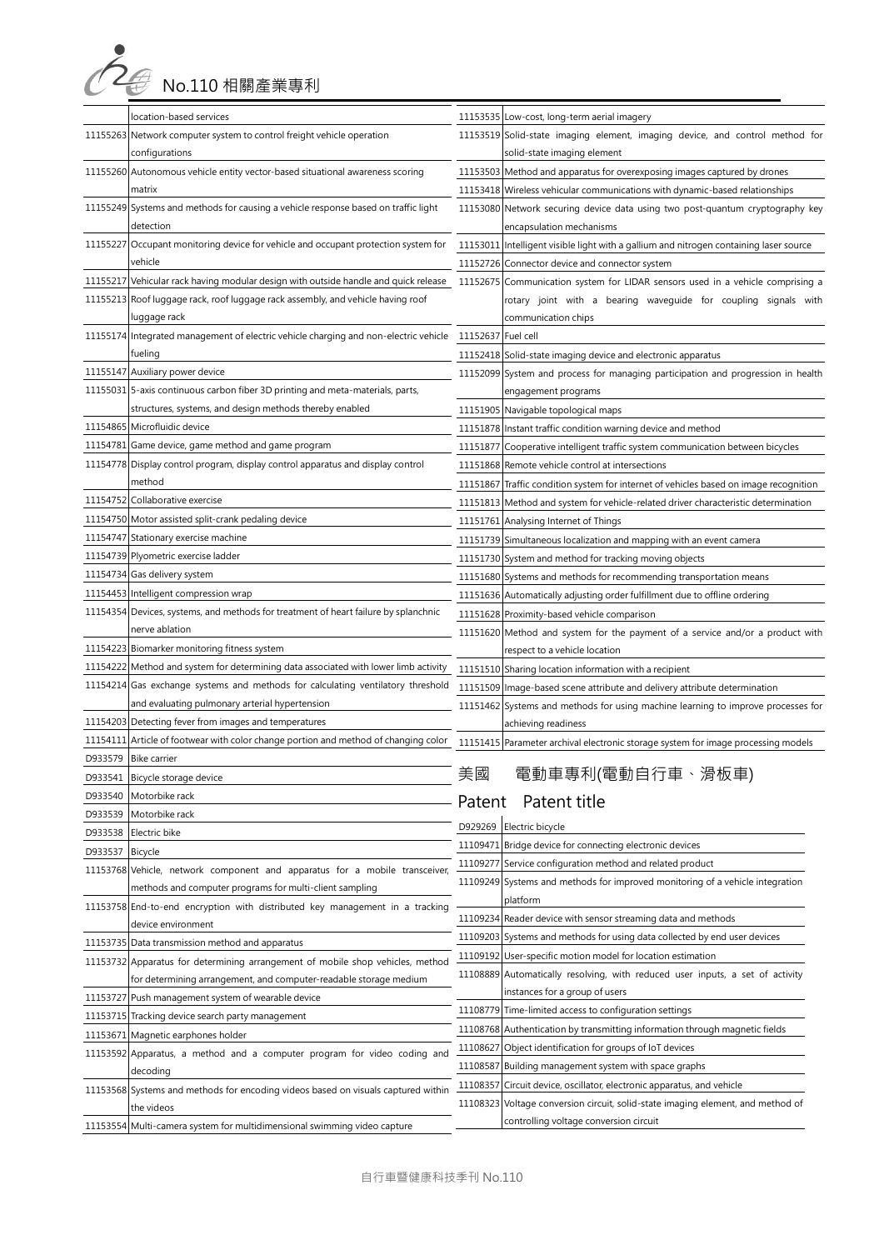**○ 2 3 No.110 相關產業專利** 

|          | location-based services                                                             |                    | 11153535 Low-cost, long-term aerial imagery                                            |
|----------|-------------------------------------------------------------------------------------|--------------------|----------------------------------------------------------------------------------------|
|          | 11155263 Network computer system to control freight vehicle operation               |                    | 11153519 Solid-state imaging element, imaging device, and control method for           |
|          | configurations                                                                      |                    | solid-state imaging element                                                            |
| 11155260 | Autonomous vehicle entity vector-based situational awareness scoring                |                    | 11153503 Method and apparatus for overexposing images captured by drones               |
|          | matrix                                                                              |                    | 11153418 Wireless vehicular communications with dynamic-based relationships            |
| 11155249 | Systems and methods for causing a vehicle response based on traffic light           |                    | 11153080 Network securing device data using two post-quantum cryptography key          |
|          | detection                                                                           |                    | encapsulation mechanisms                                                               |
| 11155227 | Occupant monitoring device for vehicle and occupant protection system for           |                    | 11153011 Intelligent visible light with a gallium and nitrogen containing laser source |
|          | vehicle                                                                             |                    | 11152726 Connector device and connector system                                         |
| 11155217 | Vehicular rack having modular design with outside handle and quick release          |                    | 11152675 Communication system for LIDAR sensors used in a vehicle comprising a         |
| 11155213 | Roof luggage rack, roof luggage rack assembly, and vehicle having roof              |                    | rotary joint with a bearing waveguide for coupling signals with                        |
|          | luggage rack                                                                        |                    | communication chips                                                                    |
| 11155174 | Integrated management of electric vehicle charging and non-electric vehicle         | 11152637 Fuel cell |                                                                                        |
|          | fueling                                                                             |                    | 11152418 Solid-state imaging device and electronic apparatus                           |
| 11155147 | Auxiliary power device                                                              |                    | 11152099 System and process for managing participation and progression in health       |
| 11155031 | 5-axis continuous carbon fiber 3D printing and meta-materials, parts,               |                    | engagement programs                                                                    |
|          | structures, systems, and design methods thereby enabled                             |                    | 11151905 Navigable topological maps                                                    |
| 11154865 | Microfluidic device                                                                 |                    | 11151878 Instant traffic condition warning device and method                           |
| 11154781 | Game device, game method and game program                                           |                    | 11151877 Cooperative intelligent traffic system communication between bicycles         |
| 11154778 | Display control program, display control apparatus and display control              |                    | 11151868 Remote vehicle control at intersections                                       |
|          | method                                                                              | 11151867           | Traffic condition system for internet of vehicles based on image recognition           |
| 11154752 | Collaborative exercise                                                              |                    | 11151813 Method and system for vehicle-related driver characteristic determination     |
| 11154750 | Motor assisted split-crank pedaling device                                          |                    | 11151761 Analysing Internet of Things                                                  |
| 11154747 | Stationary exercise machine                                                         |                    | 11151739 Simultaneous localization and mapping with an event camera                    |
| 11154739 | Plyometric exercise ladder                                                          |                    | 11151730 System and method for tracking moving objects                                 |
| 11154734 | Gas delivery system                                                                 |                    | 11151680 Systems and methods for recommending transportation means                     |
| 11154453 | Intelligent compression wrap                                                        |                    | 11151636 Automatically adjusting order fulfillment due to offline ordering             |
|          | 11154354 Devices, systems, and methods for treatment of heart failure by splanchnic |                    | 11151628 Proximity-based vehicle comparison                                            |
|          | nerve ablation                                                                      |                    | 11151620 Method and system for the payment of a service and/or a product with          |
| 11154223 | Biomarker monitoring fitness system                                                 |                    | respect to a vehicle location                                                          |
| 11154222 | Method and system for determining data associated with lower limb activity          |                    | 11151510 Sharing location information with a recipient                                 |
| 11154214 | Gas exchange systems and methods for calculating ventilatory threshold              |                    | 11151509 Image-based scene attribute and delivery attribute determination              |
|          | and evaluating pulmonary arterial hypertension                                      |                    | 11151462 Systems and methods for using machine learning to improve processes for       |
| 11154203 | Detecting fever from images and temperatures                                        |                    | achieving readiness                                                                    |
| 11154111 | Article of footwear with color change portion and method of changing color          |                    | 11151415 Parameter archival electronic storage system for image processing models      |
| D933579  | <b>Bike carrier</b>                                                                 |                    |                                                                                        |
| D933541  | Bicycle storage device                                                              | 美國                 | 電動車專利(電動自行車、滑板車)                                                                       |
| D933540  | Motorbike rack                                                                      |                    |                                                                                        |
| D933539  | Motorbike rack                                                                      |                    | Patent Patent title                                                                    |
| D933538  | Electric bike                                                                       | D929269            | Electric bicycle                                                                       |
| D933537  | Bicycle                                                                             |                    | 11109471 Bridge device for connecting electronic devices                               |
|          | 11153768 Vehicle, network component and apparatus for a mobile transceiver,         |                    | 11109277 Service configuration method and related product                              |
|          | methods and computer programs for multi-client sampling                             |                    | 11109249 Systems and methods for improved monitoring of a vehicle integration          |
|          | 11153758 End-to-end encryption with distributed key management in a tracking        |                    | platform                                                                               |
|          | device environment                                                                  | 11109234           | Reader device with sensor streaming data and methods                                   |
| 11153735 | Data transmission method and apparatus                                              | 11109203           | Systems and methods for using data collected by end user devices                       |
|          | 11153732 Apparatus for determining arrangement of mobile shop vehicles, method      | 11109192           | User-specific motion model for location estimation                                     |
|          | for determining arrangement, and computer-readable storage medium                   |                    | 11108889 Automatically resolving, with reduced user inputs, a set of activity          |
| 11153727 | Push management system of wearable device                                           |                    | instances for a group of users                                                         |
| 11153715 | Tracking device search party management                                             |                    | 11108779 Time-limited access to configuration settings                                 |
| 11153671 | Magnetic earphones holder                                                           |                    | 11108768 Authentication by transmitting information through magnetic fields            |
| 11153592 | Apparatus, a method and a computer program for video coding and                     | 11108627           | Object identification for groups of IoT devices                                        |
|          | decoding                                                                            | 11108587           | Building management system with space graphs                                           |
| 11153568 | Systems and methods for encoding videos based on visuals captured within            | 11108357           | Circuit device, oscillator, electronic apparatus, and vehicle                          |
|          | the videos                                                                          | 11108323           | Voltage conversion circuit, solid-state imaging element, and method of                 |
|          | 11153554 Multi-camera system for multidimensional swimming video capture            |                    | controlling voltage conversion circuit                                                 |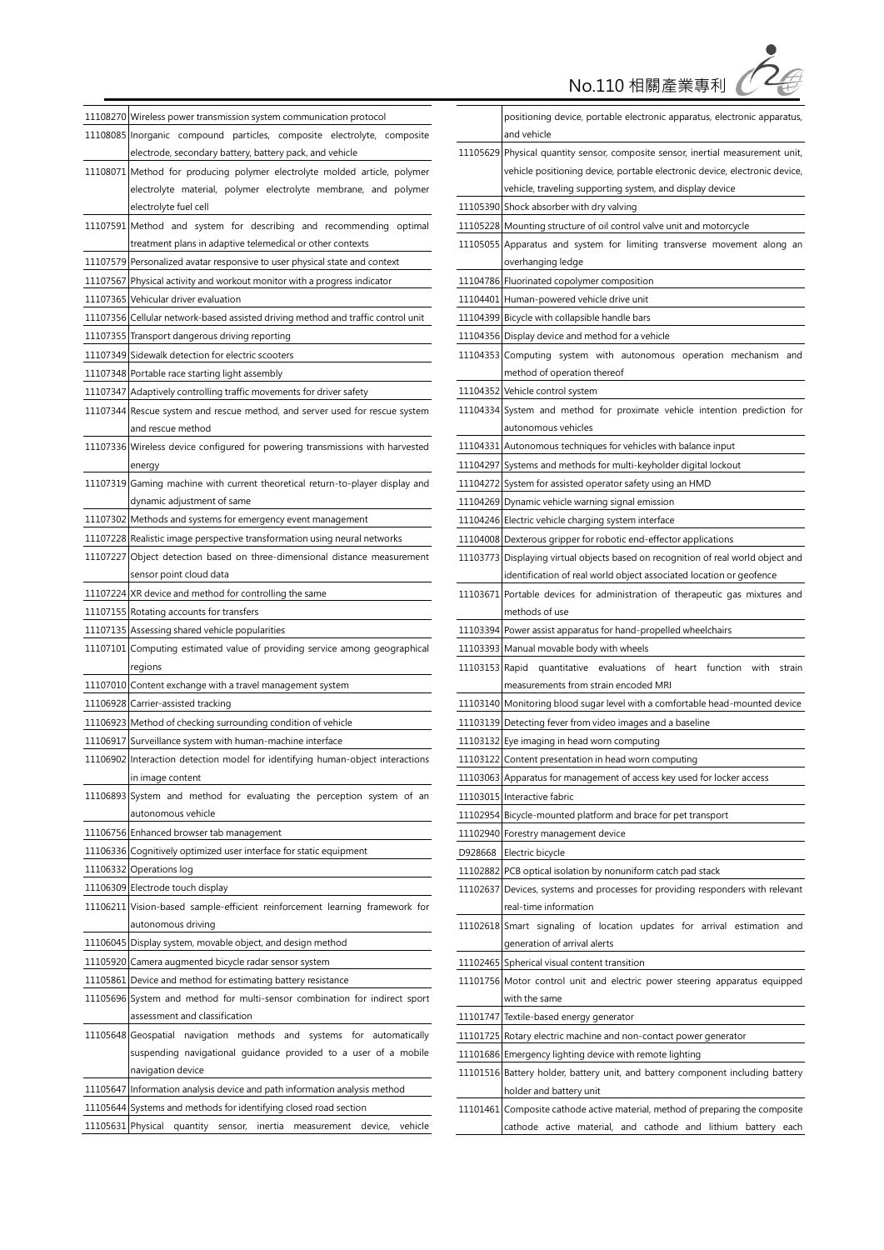No.110 相關產業專利

ے<br>صح

|          | 11108270 Wireless power transmission system communication protocol               |
|----------|----------------------------------------------------------------------------------|
|          | 11108085 Inorganic compound particles, composite electrolyte, composite          |
|          | electrode, secondary battery, battery pack, and vehicle                          |
|          | 11108071 Method for producing polymer electrolyte molded article, polymer        |
|          | electrolyte material, polymer electrolyte membrane, and polymer                  |
|          | electrolyte fuel cell                                                            |
|          | 11107591 Method and system for describing and recommending optimal               |
|          | treatment plans in adaptive telemedical or other contexts                        |
|          | 11107579 Personalized avatar responsive to user physical state and context       |
|          | 11107567 Physical activity and workout monitor with a progress indicator         |
|          | 11107365 Vehicular driver evaluation                                             |
|          | 11107356 Cellular network-based assisted driving method and traffic control unit |
|          | 11107355 Transport dangerous driving reporting                                   |
|          | 11107349 Sidewalk detection for electric scooters                                |
|          | 11107348 Portable race starting light assembly                                   |
|          | 11107347 Adaptively controlling traffic movements for driver safety              |
|          | 11107344 Rescue system and rescue method, and server used for rescue system      |
|          | and rescue method                                                                |
|          | 11107336 Wireless device configured for powering transmissions with harvested    |
|          | energy                                                                           |
|          | 11107319 Gaming machine with current theoretical return-to-player display and    |
|          |                                                                                  |
|          | dynamic adjustment of same                                                       |
|          | 11107302 Methods and systems for emergency event management                      |
|          | 11107228 Realistic image perspective transformation using neural networks        |
|          | 11107227 Object detection based on three-dimensional distance measurement        |
|          | sensor point cloud data                                                          |
|          | 11107224 XR device and method for controlling the same                           |
|          | 11107155 Rotating accounts for transfers                                         |
|          | 11107135 Assessing shared vehicle popularities                                   |
|          | 11107101 Computing estimated value of providing service among geographical       |
|          | regions                                                                          |
|          | 11107010 Content exchange with a travel management system                        |
|          | 11106928 Carrier-assisted tracking                                               |
|          | 11106923 Method of checking surrounding condition of vehicle                     |
|          | 11106917 Surveillance system with human-machine interface                        |
|          | 11106902 Interaction detection model for identifying human-object interactions   |
|          | in image content                                                                 |
|          | 11106893 System and method for evaluating the perception system of an            |
|          | autonomous vehicle                                                               |
|          | 11106756 Enhanced browser tab management                                         |
|          | 11106336 Cognitively optimized user interface for static equipment               |
|          | 11106332 Operations log                                                          |
|          | 11106309 Electrode touch display                                                 |
|          | 11106211 Vision-based sample-efficient reinforcement learning framework for      |
|          | autonomous driving                                                               |
|          | 11106045 Display system, movable object, and design method                       |
|          | 11105920 Camera augmented bicycle radar sensor system                            |
|          | 11105861 Device and method for estimating battery resistance                     |
|          | 11105696 System and method for multi-sensor combination for indirect sport       |
|          | assessment and classification                                                    |
|          | 11105648 Geospatial<br>navigation methods and systems for automatically          |
|          | suspending navigational guidance provided to a user of a mobile                  |
|          | navigation device                                                                |
|          | 11105647 Information analysis device and path information analysis method        |
|          | 11105644 Systems and methods for identifying closed road section                 |
| 11105631 | Physical<br>quantity<br>device,<br>vehicle<br>sensor,<br>inertia<br>measurement  |

|         | positioning device, portable electronic apparatus, electronic apparatus,          |
|---------|-----------------------------------------------------------------------------------|
|         | and vehicle                                                                       |
|         | 11105629 Physical quantity sensor, composite sensor, inertial measurement unit,   |
|         | vehicle positioning device, portable electronic device, electronic device,        |
|         | vehicle, traveling supporting system, and display device                          |
|         | 11105390 Shock absorber with dry valving                                          |
|         | 11105228 Mounting structure of oil control valve unit and motorcycle              |
|         | 11105055 Apparatus and system for limiting transverse movement along an           |
|         | overhanging ledge                                                                 |
|         | 11104786 Fluorinated copolymer composition                                        |
|         | 11104401 Human-powered vehicle drive unit                                         |
|         | 11104399 Bicycle with collapsible handle bars                                     |
|         | 11104356 Display device and method for a vehicle                                  |
|         | 11104353 Computing system with autonomous operation mechanism and                 |
|         | method of operation thereof                                                       |
|         | 11104352 Vehicle control system                                                   |
|         | 11104334 System and method for proximate vehicle intention prediction for         |
|         | autonomous vehicles                                                               |
|         | 11104331 Autonomous techniques for vehicles with balance input                    |
|         | 11104297 Systems and methods for multi-keyholder digital lockout                  |
|         | 11104272 System for assisted operator safety using an HMD                         |
|         | 11104269 Dynamic vehicle warning signal emission                                  |
|         | 11104246 Electric vehicle charging system interface                               |
|         | 11104008 Dexterous gripper for robotic end-effector applications                  |
|         | 11103773 Displaying virtual objects based on recognition of real world object and |
|         | identification of real world object associated location or geofence               |
|         | 11103671 Portable devices for administration of therapeutic gas mixtures and      |
|         | methods of use                                                                    |
|         | 11103394 Power assist apparatus for hand-propelled wheelchairs                    |
|         | 11103393 Manual movable body with wheels                                          |
|         | 11103153 Rapid quantitative evaluations<br>of heart<br>function<br>with<br>strain |
|         | measurements from strain encoded MRI                                              |
|         | 11103140 Monitoring blood sugar level with a comfortable head-mounted device      |
|         | 11103139 Detecting fever from video images and a baseline                         |
|         | 11103132 Eye imaging in head worn computing                                       |
|         | 11103122 Content presentation in head worn computing                              |
|         | 11103063 Apparatus for management of access key used for locker access            |
|         | 11103015 Interactive fabric                                                       |
|         | 11102954 Bicycle-mounted platform and brace for pet transport                     |
|         | 11102940 Forestry management device                                               |
| D928668 | Electric bicycle                                                                  |
|         | 11102882 PCB optical isolation by nonuniform catch pad stack                      |
|         | 11102637 Devices, systems and processes for providing responders with relevant    |
|         | real-time information                                                             |
|         | 11102618 Smart signaling of location updates for arrival estimation and           |
|         | generation of arrival alerts                                                      |
|         | 11102465 Spherical visual content transition                                      |
|         | 11101756 Motor control unit and electric power steering apparatus equipped        |
|         | with the same                                                                     |
|         | 11101747 Textile-based energy generator                                           |
|         | 11101725 Rotary electric machine and non-contact power generator                  |
|         | 11101686 Emergency lighting device with remote lighting                           |
|         | 11101516 Battery holder, battery unit, and battery component including battery    |
|         | holder and battery unit                                                           |
|         | 11101461 Composite cathode active material, method of preparing the composite     |
|         | cathode active material, and cathode and lithium battery each                     |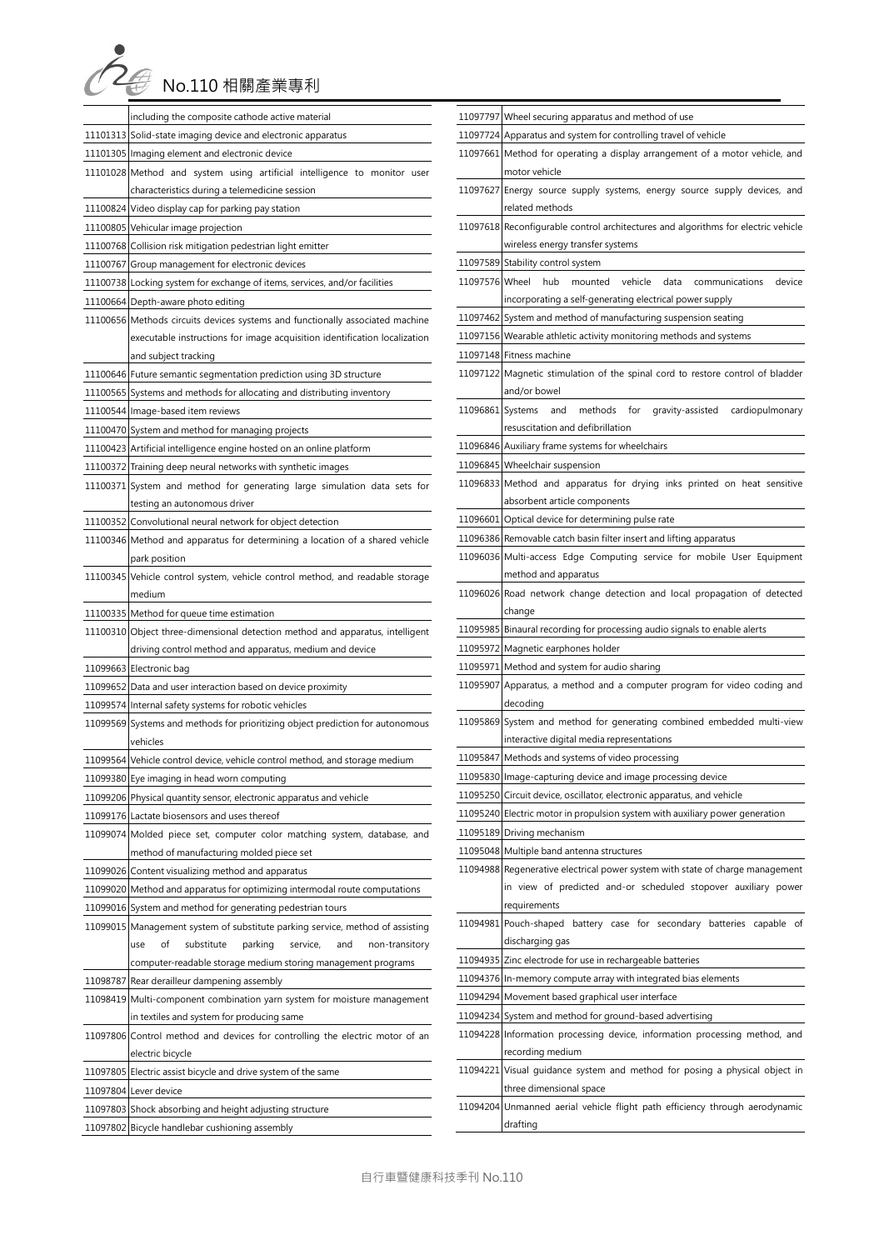| No.110 相關產業專利 |
|---------------|

| including the composite cathode active material                                |
|--------------------------------------------------------------------------------|
| 11101313 Solid-state imaging device and electronic apparatus                   |
| 11101305 Imaging element and electronic device                                 |
| 11101028 Method and system using artificial intelligence to monitor user       |
| characteristics during a telemedicine session                                  |
| 11100824 Video display cap for parking pay station                             |
| 11100805 Vehicular image projection                                            |
| 11100768 Collision risk mitigation pedestrian light emitter                    |
| 11100767 Group management for electronic devices                               |
| 11100738 Locking system for exchange of items, services, and/or facilities     |
| 11100664 Depth-aware photo editing                                             |
| 11100656 Methods circuits devices systems and functionally associated machine  |
| executable instructions for image acquisition identification localization      |
| and subject tracking                                                           |
| 11100646 Future semantic segmentation prediction using 3D structure            |
| 11100565 Systems and methods for allocating and distributing inventory         |
| 11100544 Image-based item reviews                                              |
| 11100470 System and method for managing projects                               |
| 11100423 Artificial intelligence engine hosted on an online platform           |
| 11100372 Training deep neural networks with synthetic images                   |
| 11100371 System and method for generating large simulation data sets for       |
| testing an autonomous driver                                                   |
| 11100352 Convolutional neural network for object detection                     |
| 11100346 Method and apparatus for determining a location of a shared vehicle   |
| park position                                                                  |
| 11100345 Vehicle control system, vehicle control method, and readable storage  |
| medium                                                                         |
| 11100335 Method for queue time estimation                                      |
|                                                                                |
| 11100310 Object three-dimensional detection method and apparatus, intelligent  |
| driving control method and apparatus, medium and device                        |
| 11099663 Electronic bag                                                        |
| 11099652 Data and user interaction based on device proximity                   |
| 11099574 Internal safety systems for robotic vehicles                          |
| 11099569 Systems and methods for prioritizing object prediction for autonomous |
| vehicles                                                                       |
| 11099564 Vehicle control device, vehicle control method, and storage medium    |
| 11099380 Eye imaging in head worn computing                                    |
| 11099206 Physical quantity sensor, electronic apparatus and vehicle            |
| 11099176 Lactate biosensors and uses thereof                                   |
| 11099074 Molded piece set, computer color matching system, database, and       |
| method of manufacturing molded piece set                                       |
| 11099026 Content visualizing method and apparatus                              |
| 11099020 Method and apparatus for optimizing intermodal route computations     |
| 11099016 System and method for generating pedestrian tours                     |
| 11099015 Management system of substitute parking service, method of assisting  |
| substitute<br>parking<br>service,<br>use<br>οf<br>and<br>non-transitory        |
| computer-readable storage medium storing management programs                   |
| 11098787 Rear derailleur dampening assembly                                    |
| 11098419 Multi-component combination yarn system for moisture management       |
| in textiles and system for producing same                                      |
| 11097806 Control method and devices for controlling the electric motor of an   |
| electric bicycle                                                               |
| 11097805 Electric assist bicycle and drive system of the same                  |
| 11097804 Lever device                                                          |
| 11097803 Shock absorbing and height adjusting structure                        |

|                  | 11097797 Wheel securing apparatus and method of use                                                                                                                                                                                                                                                                   |
|------------------|-----------------------------------------------------------------------------------------------------------------------------------------------------------------------------------------------------------------------------------------------------------------------------------------------------------------------|
|                  | 11097724 Apparatus and system for controlling travel of vehicle                                                                                                                                                                                                                                                       |
|                  | 11097661 Method for operating a display arrangement of a motor vehicle, and                                                                                                                                                                                                                                           |
|                  | motor vehicle                                                                                                                                                                                                                                                                                                         |
|                  | 11097627 Energy source supply systems, energy source supply devices, and                                                                                                                                                                                                                                              |
|                  | related methods                                                                                                                                                                                                                                                                                                       |
|                  | 11097618 Reconfigurable control architectures and algorithms for electric vehicle                                                                                                                                                                                                                                     |
|                  | wireless energy transfer systems                                                                                                                                                                                                                                                                                      |
| 11097589         | Stability control system                                                                                                                                                                                                                                                                                              |
| 11097576 Wheel   | vehicle<br>hub<br>mounted<br>data<br>device<br>communications                                                                                                                                                                                                                                                         |
|                  | incorporating a self-generating electrical power supply                                                                                                                                                                                                                                                               |
|                  | 11097462 System and method of manufacturing suspension seating                                                                                                                                                                                                                                                        |
|                  | 11097156 Wearable athletic activity monitoring methods and systems                                                                                                                                                                                                                                                    |
|                  | 11097148 Fitness machine                                                                                                                                                                                                                                                                                              |
|                  | 11097122 Magnetic stimulation of the spinal cord to restore control of bladder                                                                                                                                                                                                                                        |
|                  | and/or bowel                                                                                                                                                                                                                                                                                                          |
| 11096861 Systems | gravity-assisted cardiopulmonary<br>methods<br>for<br>and                                                                                                                                                                                                                                                             |
|                  | resuscitation and defibrillation                                                                                                                                                                                                                                                                                      |
|                  | 11096846 Auxiliary frame systems for wheelchairs                                                                                                                                                                                                                                                                      |
|                  | 11096845 Wheelchair suspension                                                                                                                                                                                                                                                                                        |
|                  | 11096833 Method and apparatus for drying inks printed on heat sensitive                                                                                                                                                                                                                                               |
|                  | absorbent article components                                                                                                                                                                                                                                                                                          |
|                  | 11096601 Optical device for determining pulse rate                                                                                                                                                                                                                                                                    |
|                  | 11096386 Removable catch basin filter insert and lifting apparatus                                                                                                                                                                                                                                                    |
|                  | 11096036 Multi-access Edge Computing service for mobile User Equipment                                                                                                                                                                                                                                                |
|                  | method and apparatus                                                                                                                                                                                                                                                                                                  |
|                  | 11096026 Road network change detection and local propagation of detected                                                                                                                                                                                                                                              |
|                  | change                                                                                                                                                                                                                                                                                                                |
|                  |                                                                                                                                                                                                                                                                                                                       |
|                  | 11095985 Binaural recording for processing audio signals to enable alerts                                                                                                                                                                                                                                             |
|                  | 11095972 Magnetic earphones holder                                                                                                                                                                                                                                                                                    |
|                  | 11095971 Method and system for audio sharing                                                                                                                                                                                                                                                                          |
|                  |                                                                                                                                                                                                                                                                                                                       |
|                  | decoding                                                                                                                                                                                                                                                                                                              |
|                  |                                                                                                                                                                                                                                                                                                                       |
|                  | interactive digital media representations                                                                                                                                                                                                                                                                             |
|                  | 11095847 Methods and systems of video processing                                                                                                                                                                                                                                                                      |
|                  | 11095830 Image-capturing device and image processing device                                                                                                                                                                                                                                                           |
|                  | 11095250 Circuit device, oscillator, electronic apparatus, and vehicle                                                                                                                                                                                                                                                |
|                  | 11095240 Electric motor in propulsion system with auxiliary power generation                                                                                                                                                                                                                                          |
|                  | 11095189 Driving mechanism                                                                                                                                                                                                                                                                                            |
|                  | 11095048 Multiple band antenna structures                                                                                                                                                                                                                                                                             |
|                  |                                                                                                                                                                                                                                                                                                                       |
|                  |                                                                                                                                                                                                                                                                                                                       |
|                  | 11095907 Apparatus, a method and a computer program for video coding and<br>11095869 System and method for generating combined embedded multi-view<br>11094988 Regenerative electrical power system with state of charge management<br>in view of predicted and-or scheduled stopover auxiliary power<br>requirements |
|                  |                                                                                                                                                                                                                                                                                                                       |
|                  | 11094981 Pouch-shaped battery case for secondary batteries capable of<br>discharging gas                                                                                                                                                                                                                              |
|                  | 11094935 Zinc electrode for use in rechargeable batteries                                                                                                                                                                                                                                                             |
|                  | 11094376 In-memory compute array with integrated bias elements                                                                                                                                                                                                                                                        |
|                  | 11094294 Movement based graphical user interface                                                                                                                                                                                                                                                                      |
|                  | 11094234 System and method for ground-based advertising                                                                                                                                                                                                                                                               |
|                  |                                                                                                                                                                                                                                                                                                                       |
|                  | 11094228 Information processing device, information processing method, and<br>recording medium                                                                                                                                                                                                                        |
|                  | 11094221 Visual guidance system and method for posing a physical object in                                                                                                                                                                                                                                            |
|                  | three dimensional space                                                                                                                                                                                                                                                                                               |
|                  | 11094204 Unmanned aerial vehicle flight path efficiency through aerodynamic<br>drafting                                                                                                                                                                                                                               |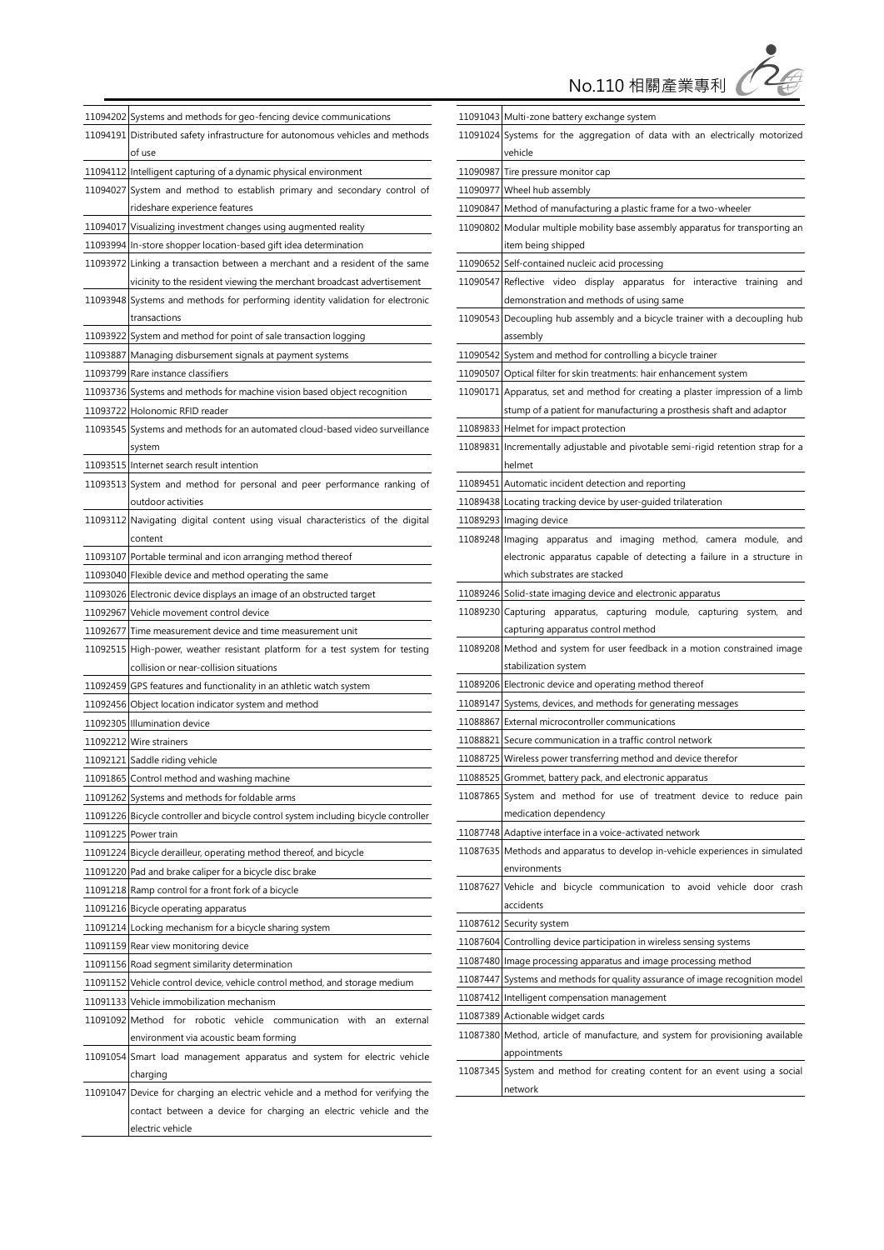

|                 | 11094202 Systems and methods for geo-fencing device communications                  |
|-----------------|-------------------------------------------------------------------------------------|
|                 | 11094191 Distributed safety infrastructure for autonomous vehicles and methods      |
|                 | of use                                                                              |
|                 | 11094112 Intelligent capturing of a dynamic physical environment                    |
|                 | 11094027 System and method to establish primary and secondary control of            |
|                 | rideshare experience features                                                       |
| 11094017        | Visualizing investment changes using augmented reality                              |
|                 | 11093994 In-store shopper location-based gift idea determination                    |
|                 | 11093972 Linking a transaction between a merchant and a resident of the same        |
|                 | vicinity to the resident viewing the merchant broadcast advertisement               |
|                 | 11093948 Systems and methods for performing identity validation for electronic      |
|                 | transactions                                                                        |
|                 | 11093922 System and method for point of sale transaction logging                    |
|                 | 11093887 Managing disbursement signals at payment systems                           |
|                 | 11093799 Rare instance classifiers                                                  |
|                 | 11093736 Systems and methods for machine vision based object recognition            |
|                 | 11093722 Holonomic RFID reader                                                      |
|                 | 11093545 Systems and methods for an automated cloud-based video surveillance        |
|                 | system                                                                              |
|                 | 11093515 Internet search result intention                                           |
|                 | 11093513 System and method for personal and peer performance ranking of             |
|                 | outdoor activities                                                                  |
|                 | 11093112 Navigating digital content using visual characteristics of the digital     |
|                 | content                                                                             |
|                 | 11093107 Portable terminal and icon arranging method thereof                        |
|                 | 11093040 Flexible device and method operating the same                              |
|                 | 11093026 Electronic device displays an image of an obstructed target                |
|                 | 11092967 Vehicle movement control device                                            |
|                 | 11092677 Time measurement device and time measurement unit                          |
|                 | 11092515 High-power, weather resistant platform for a test system for testing       |
|                 | collision or near-collision situations                                              |
|                 | 11092459 GPS features and functionality in an athletic watch system                 |
|                 | 11092456 Object location indicator system and method                                |
|                 | 11092305 Illumination device                                                        |
|                 | 11092212 Wire strainers                                                             |
|                 | 11092121 Saddle riding vehicle                                                      |
|                 | 11091865 Control method and washing machine                                         |
|                 | 11091262 Systems and methods for foldable arms                                      |
|                 | 11091226 Bicycle controller and bicycle control system including bicycle controller |
|                 | 11091225 Power train                                                                |
|                 | 11091224 Bicycle derailleur, operating method thereof, and bicycle                  |
|                 | 11091220 Pad and brake caliper for a bicycle disc brake                             |
|                 | 11091218 Ramp control for a front fork of a bicycle                                 |
|                 | 11091216 Bicycle operating apparatus                                                |
|                 | 11091214 Locking mechanism for a bicycle sharing system                             |
|                 | 11091159 Rear view monitoring device                                                |
|                 | 11091156 Road segment similarity determination                                      |
|                 | 11091152 Vehicle control device, vehicle control method, and storage medium         |
|                 | 11091133 Vehicle immobilization mechanism                                           |
| 11091092 Method | for<br>robotic vehicle<br>communication with<br>an<br>external                      |
|                 | environment via acoustic beam forming                                               |
|                 | 11091054 Smart load management apparatus and system for electric vehicle            |
|                 | charging                                                                            |
|                 | 11091047 Device for charging an electric vehicle and a method for verifying the     |
|                 | contact between a device for charging an electric vehicle and the                   |
|                 | electric vehicle                                                                    |

| 11091043 Multi-zone battery exchange system                                      |
|----------------------------------------------------------------------------------|
| 11091024 Systems for the aggregation of data with an electrically motorized      |
| vehicle                                                                          |
| 11090987 Tire pressure monitor cap                                               |
| 11090977 Wheel hub assembly                                                      |
| 11090847 Method of manufacturing a plastic frame for a two-wheeler               |
| 11090802 Modular multiple mobility base assembly apparatus for transporting an   |
| item being shipped                                                               |
| 11090652 Self-contained nucleic acid processing                                  |
| 11090547 Reflective video display apparatus for interactive training and         |
| demonstration and methods of using same                                          |
| 11090543 Decoupling hub assembly and a bicycle trainer with a decoupling hub     |
| assembly                                                                         |
| 11090542 System and method for controlling a bicycle trainer                     |
| 11090507 Optical filter for skin treatments: hair enhancement system             |
| 11090171 Apparatus, set and method for creating a plaster impression of a limb   |
| stump of a patient for manufacturing a prosthesis shaft and adaptor              |
| 11089833 Helmet for impact protection                                            |
| 11089831 Incrementally adjustable and pivotable semi-rigid retention strap for a |
| helmet                                                                           |
| 11089451 Automatic incident detection and reporting                              |
| 11089438 Locating tracking device by user-guided trilateration                   |
| 11089293 Imaging device                                                          |
| 11089248 Imaging apparatus and imaging method, camera module, and                |
| electronic apparatus capable of detecting a failure in a structure in            |
| which substrates are stacked                                                     |
| 11089246 Solid-state imaging device and electronic apparatus                     |
| 11089230 Capturing apparatus, capturing module, capturing system, and            |
| capturing apparatus control method                                               |
| 11089208 Method and system for user feedback in a motion constrained image       |
| stabilization system                                                             |
| 11089206 Electronic device and operating method thereof                          |
| 11089147 Systems, devices, and methods for generating messages                   |
| 11088867 External microcontroller communications                                 |
| 11088821 Secure communication in a traffic control network                       |
| 11088725 Wireless power transferring method and device therefor                  |
| 11088525 Grommet, battery pack, and electronic apparatus                         |
| 11087865 System and method for use of treatment device to reduce pain            |
| medication dependency                                                            |
| 11087748 Adaptive interface in a voice-activated network                         |
| 11087635 Methods and apparatus to develop in-vehicle experiences in simulated    |
| environments                                                                     |
| 11087627 Vehicle and bicycle communication to avoid vehicle door crash           |
| accidents                                                                        |
| 11087612 Security system                                                         |
| 11087604 Controlling device participation in wireless sensing systems            |
| 11087480 Image processing apparatus and image processing method                  |
| 11087447 Systems and methods for quality assurance of image recognition model    |
| 11087412 Intelligent compensation management                                     |
| 11087389 Actionable widget cards                                                 |
| 11087380 Method, article of manufacture, and system for provisioning available   |
| appointments                                                                     |
| 11087345 System and method for creating content for an event using a social      |
| network                                                                          |
|                                                                                  |